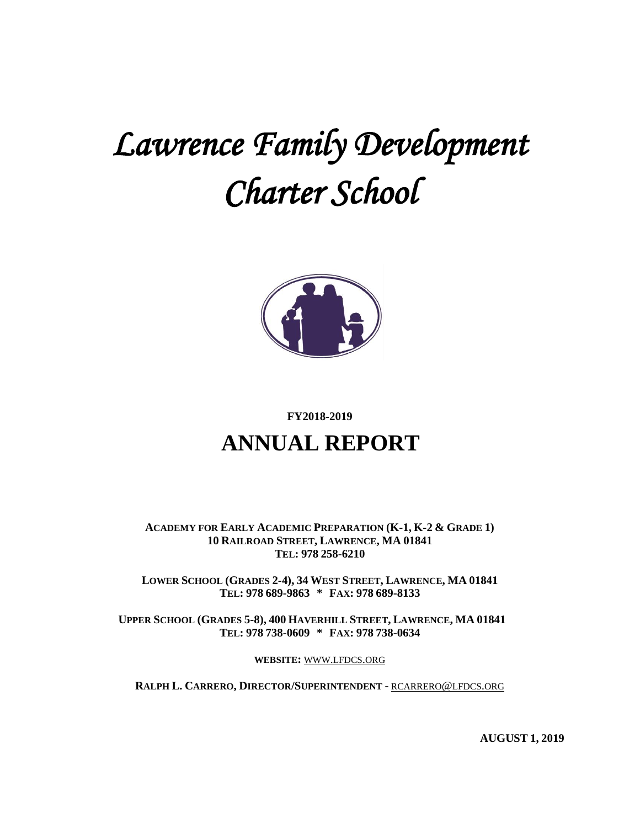# *Lawrence Family Development Charter School*



#### **FY2018-2019**

## **ANNUAL REPORT**

**ACADEMY FOR EARLY ACADEMIC PREPARATION (K-1, K-2 & GRADE 1) 10 RAILROAD STREET, LAWRENCE, MA 01841 TEL: 978 258-6210**

**LOWER SCHOOL (GRADES 2-4), 34 WEST STREET, LAWRENCE, MA 01841 TEL: 978 689-9863 \* FAX: 978 689-8133**

**UPPER SCHOOL (GRADES 5-8), 400 HAVERHILL STREET, LAWRENCE, MA 01841 TEL: 978 738-0609 \* FAX: 978 738-0634**

**WEBSITE:** WWW.[LFDCS](http://www.lfdcs.org/).ORG

**RALPH L. CARRERO, DIRECTOR/SUPERINTENDENT -** [RCARRERO](mailto:rcarrero@lfdcs.org)@LFDCS.ORG

**AUGUST 1, 2019**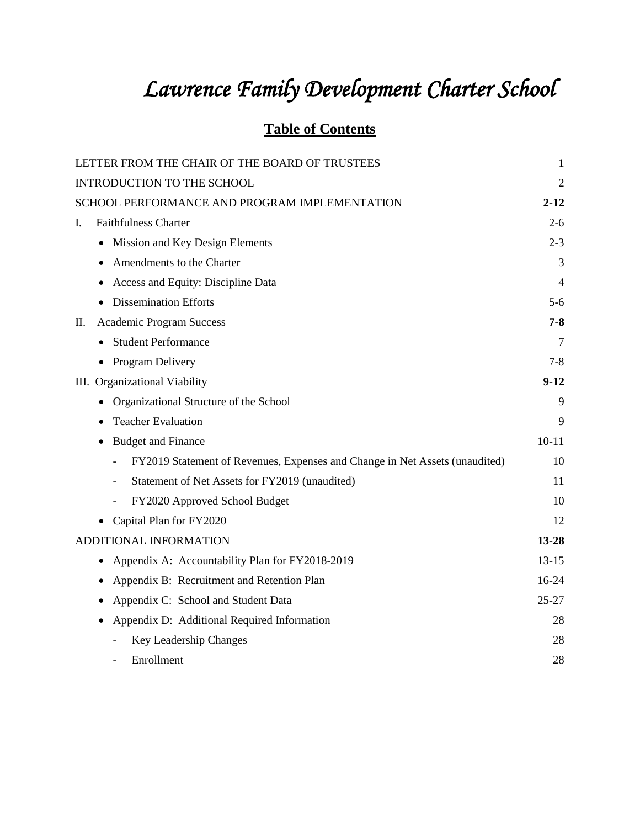# *Lawrence Family Development Charter School*

### **Table of Contents**

| LETTER FROM THE CHAIR OF THE BOARD OF TRUSTEES                              | $\mathbf{1}$   |
|-----------------------------------------------------------------------------|----------------|
| INTRODUCTION TO THE SCHOOL                                                  | $\overline{2}$ |
| SCHOOL PERFORMANCE AND PROGRAM IMPLEMENTATION                               | $2 - 12$       |
| <b>Faithfulness Charter</b><br>L.                                           | $2-6$          |
| Mission and Key Design Elements                                             | $2 - 3$        |
| Amendments to the Charter<br>$\bullet$                                      | 3              |
| Access and Equity: Discipline Data                                          | 4              |
| <b>Dissemination Efforts</b>                                                | $5 - 6$        |
| <b>Academic Program Success</b><br>П.                                       | 7-8            |
| <b>Student Performance</b>                                                  | $\overline{7}$ |
| Program Delivery                                                            | $7 - 8$        |
| III. Organizational Viability                                               | $9-12$         |
| Organizational Structure of the School<br>٠                                 | 9              |
| <b>Teacher Evaluation</b>                                                   | 9              |
| <b>Budget and Finance</b><br>٠                                              | $10 - 11$      |
| FY2019 Statement of Revenues, Expenses and Change in Net Assets (unaudited) | 10             |
| Statement of Net Assets for FY2019 (unaudited)<br>$\overline{\phantom{a}}$  | 11             |
| FY2020 Approved School Budget<br>$\overline{\phantom{a}}$                   | 10             |
| Capital Plan for FY2020                                                     | 12             |
| ADDITIONAL INFORMATION                                                      | 13-28          |
| Appendix A: Accountability Plan for FY2018-2019<br>٠                        | $13-15$        |
| Appendix B: Recruitment and Retention Plan                                  | $16-24$        |
| Appendix C: School and Student Data<br>$\bullet$                            | $25 - 27$      |
| Appendix D: Additional Required Information                                 | 28             |
| Key Leadership Changes                                                      | 28             |
| Enrollment                                                                  | 28             |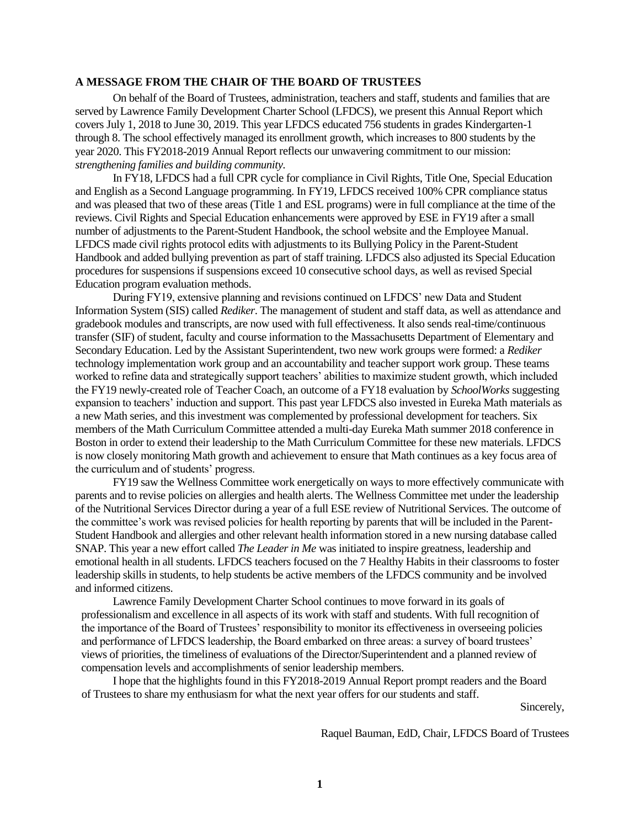#### **A MESSAGE FROM THE CHAIR OF THE BOARD OF TRUSTEES**

On behalf of the Board of Trustees, administration, teachers and staff, students and families that are served by Lawrence Family Development Charter School (LFDCS), we present this Annual Report which covers July 1, 2018 to June 30, 2019. This year LFDCS educated 756 students in grades Kindergarten-1 through 8. The school effectively managed its enrollment growth, which increases to 800 students by the year 2020. This FY2018-2019 Annual Report reflects our unwavering commitment to our mission: *strengthening families and building community.*

In FY18, LFDCS had a full CPR cycle for compliance in Civil Rights, Title One, Special Education and English as a Second Language programming. In FY19, LFDCS received 100% CPR compliance status and was pleased that two of these areas (Title 1 and ESL programs) were in full compliance at the time of the reviews. Civil Rights and Special Education enhancements were approved by ESE in FY19 after a small number of adjustments to the Parent-Student Handbook, the school website and the Employee Manual. LFDCS made civil rights protocol edits with adjustments to its Bullying Policy in the Parent-Student Handbook and added bullying prevention as part of staff training. LFDCS also adjusted its Special Education procedures for suspensions if suspensions exceed 10 consecutive school days, as well as revised Special Education program evaluation methods.

During FY19, extensive planning and revisions continued on LFDCS' new Data and Student Information System (SIS) called *Rediker*. The management of student and staff data, as well as attendance and gradebook modules and transcripts, are now used with full effectiveness. It also sends real-time/continuous transfer (SIF) of student, faculty and course information to the Massachusetts Department of Elementary and Secondary Education. Led by the Assistant Superintendent, two new work groups were formed: a *Rediker* technology implementation work group and an accountability and teacher support work group. These teams worked to refine data and strategically support teachers' abilities to maximize student growth, which included the FY19 newly-created role of Teacher Coach, an outcome of a FY18 evaluation by *SchoolWorks* suggesting expansion to teachers' induction and support. This past year LFDCS also invested in Eureka Math materials as a new Math series, and this investment was complemented by professional development for teachers. Six members of the Math Curriculum Committee attended a multi-day Eureka Math summer 2018 conference in Boston in order to extend their leadership to the Math Curriculum Committee for these new materials. LFDCS is now closely monitoring Math growth and achievement to ensure that Math continues as a key focus area of the curriculum and of students' progress.

FY19 saw the Wellness Committee work energetically on ways to more effectively communicate with parents and to revise policies on allergies and health alerts. The Wellness Committee met under the leadership of the Nutritional Services Director during a year of a full ESE review of Nutritional Services. The outcome of the committee's work was revised policies for health reporting by parents that will be included in the Parent-Student Handbook and allergies and other relevant health information stored in a new nursing database called SNAP. This year a new effort called *The Leader in Me* was initiated to inspire greatness, leadership and emotional health in all students. LFDCS teachers focused on the 7 Healthy Habits in their classrooms to foster leadership skills in students, to help students be active members of the LFDCS community and be involved and informed citizens.

Lawrence Family Development Charter School continues to move forward in its goals of professionalism and excellence in all aspects of its work with staff and students. With full recognition of the importance of the Board of Trustees' responsibility to monitor its effectiveness in overseeing policies and performance of LFDCS leadership, the Board embarked on three areas: a survey of board trustees' views of priorities, the timeliness of evaluations of the Director/Superintendent and a planned review of compensation levels and accomplishments of senior leadership members.

I hope that the highlights found in this FY2018-2019 Annual Report prompt readers and the Board of Trustees to share my enthusiasm for what the next year offers for our students and staff.

Sincerely,

Raquel Bauman, EdD, Chair, LFDCS Board of Trustees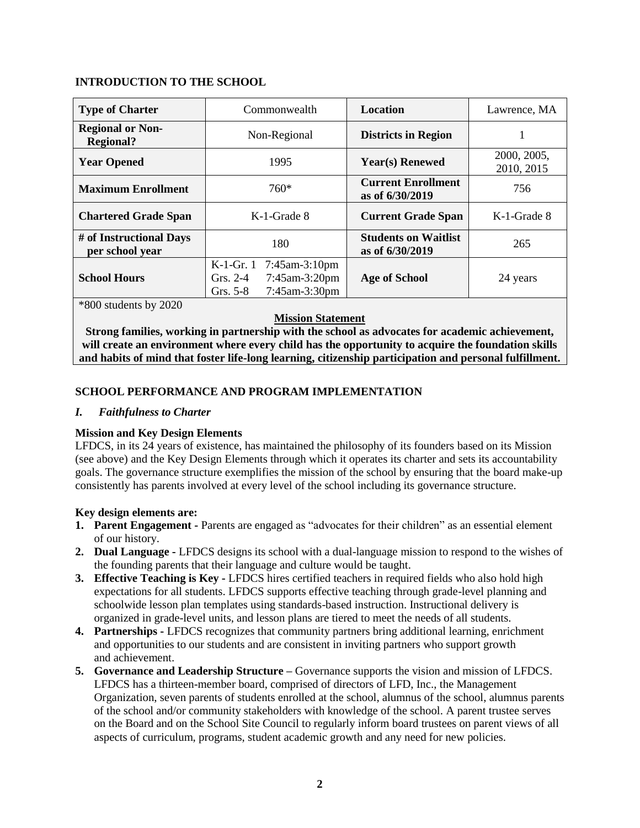#### **INTRODUCTION TO THE SCHOOL**

| <b>Type of Charter</b>                      | Commonwealth                                                                                    | <b>Location</b>                                | Lawrence, MA              |
|---------------------------------------------|-------------------------------------------------------------------------------------------------|------------------------------------------------|---------------------------|
| <b>Regional or Non-</b><br><b>Regional?</b> | Non-Regional                                                                                    | <b>Districts in Region</b>                     |                           |
| <b>Year Opened</b>                          | 1995                                                                                            | <b>Year(s)</b> Renewed                         | 2000, 2005,<br>2010, 2015 |
| <b>Maximum Enrollment</b>                   | $760*$                                                                                          | <b>Current Enrollment</b><br>as of 6/30/2019   | 756                       |
| <b>Chartered Grade Span</b>                 | K-1-Grade 8                                                                                     | <b>Current Grade Span</b>                      | K-1-Grade 8               |
| # of Instructional Days<br>per school year  | 180                                                                                             | <b>Students on Waitlist</b><br>as of 6/30/2019 | 265                       |
| <b>School Hours</b>                         | $K-1-Gr.1$<br>$7:45$ am-3:10pm<br>Grs. $2-4$<br>$7:45$ am-3:20pm<br>7:45am-3:30pm<br>Grs. $5-8$ | <b>Age of School</b>                           | 24 years                  |
| $*800$ students by 2020                     |                                                                                                 |                                                |                           |

#### **Mission Statement**

**Strong families, working in partnership with the school as advocates for academic achievement, will create an environment where every child has the opportunity to acquire the foundation skills and habits of mind that foster life-long learning, citizenship participation and personal fulfillment.**

#### **SCHOOL PERFORMANCE AND PROGRAM IMPLEMENTATION**

#### *I. Faithfulness to Charter*

#### **Mission and Key Design Elements**

LFDCS, in its 24 years of existence, has maintained the philosophy of its founders based on its Mission (see above) and the Key Design Elements through which it operates its charter and sets its accountability goals. The governance structure exemplifies the mission of the school by ensuring that the board make-up consistently has parents involved at every level of the school including its governance structure.

#### **Key design elements are:**

- **1. Parent Engagement -** Parents are engaged as "advocates for their children" as an essential element of our history.
- **2. Dual Language -** LFDCS designs its school with a dual-language mission to respond to the wishes of the founding parents that their language and culture would be taught.
- **3. Effective Teaching is Key -** LFDCS hires certified teachers in required fields who also hold high expectations for all students. LFDCS supports effective teaching through grade-level planning and schoolwide lesson plan templates using standards-based instruction. Instructional delivery is organized in grade-level units, and lesson plans are tiered to meet the needs of all students.
- **4. Partnerships -** LFDCS recognizes that community partners bring additional learning, enrichment and opportunities to our students and are consistent in inviting partners who support growth and achievement.
- **5. Governance and Leadership Structure –** Governance supports the vision and mission of LFDCS. LFDCS has a thirteen-member board, comprised of directors of LFD, Inc., the Management Organization, seven parents of students enrolled at the school, alumnus of the school, alumnus parents of the school and/or community stakeholders with knowledge of the school. A parent trustee serves on the Board and on the School Site Council to regularly inform board trustees on parent views of all aspects of curriculum, programs, student academic growth and any need for new policies.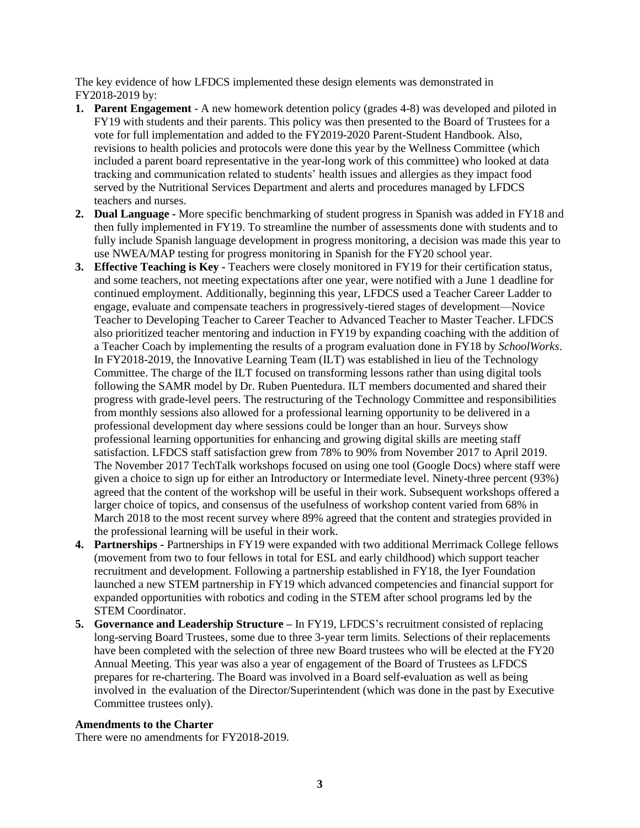The key evidence of how LFDCS implemented these design elements was demonstrated in FY2018-2019 by:

- **1. Parent Engagement** A new homework detention policy (grades 4-8) was developed and piloted in FY19 with students and their parents. This policy was then presented to the Board of Trustees for a vote for full implementation and added to the FY2019-2020 Parent-Student Handbook. Also, revisions to health policies and protocols were done this year by the Wellness Committee (which included a parent board representative in the year-long work of this committee) who looked at data tracking and communication related to students' health issues and allergies as they impact food served by the Nutritional Services Department and alerts and procedures managed by LFDCS teachers and nurses.
- **2. Dual Language -** More specific benchmarking of student progress in Spanish was added in FY18 and then fully implemented in FY19. To streamline the number of assessments done with students and to fully include Spanish language development in progress monitoring, a decision was made this year to use NWEA/MAP testing for progress monitoring in Spanish for the FY20 school year.
- **3. Effective Teaching is Key -** Teachers were closely monitored in FY19 for their certification status, and some teachers, not meeting expectations after one year, were notified with a June 1 deadline for continued employment. Additionally, beginning this year, LFDCS used a Teacher Career Ladder to engage, evaluate and compensate teachers in progressively-tiered stages of development—Novice Teacher to Developing Teacher to Career Teacher to Advanced Teacher to Master Teacher. LFDCS also prioritized teacher mentoring and induction in FY19 by expanding coaching with the addition of a Teacher Coach by implementing the results of a program evaluation done in FY18 by *SchoolWorks*. In FY2018-2019, the Innovative Learning Team (ILT) was established in lieu of the Technology Committee. The charge of the ILT focused on transforming lessons rather than using digital tools following the SAMR model by Dr. Ruben Puentedura. ILT members documented and shared their progress with grade-level peers. The restructuring of the Technology Committee and responsibilities from monthly sessions also allowed for a professional learning opportunity to be delivered in a professional development day where sessions could be longer than an hour. Surveys show professional learning opportunities for enhancing and growing digital skills are meeting staff satisfaction. LFDCS staff satisfaction grew from 78% to 90% from November 2017 to April 2019. The November 2017 TechTalk workshops focused on using one tool (Google Docs) where staff were given a choice to sign up for either an Introductory or Intermediate level. Ninety-three percent (93%) agreed that the content of the workshop will be useful in their work. Subsequent workshops offered a larger choice of topics, and consensus of the usefulness of workshop content varied from 68% in March 2018 to the most recent survey where 89% agreed that the content and strategies provided in the professional learning will be useful in their work.
- **4. Partnerships -** Partnerships in FY19 were expanded with two additional Merrimack College fellows (movement from two to four fellows in total for ESL and early childhood) which support teacher recruitment and development. Following a partnership established in FY18, the Iyer Foundation launched a new STEM partnership in FY19 which advanced competencies and financial support for expanded opportunities with robotics and coding in the STEM after school programs led by the STEM Coordinator.
- **5. Governance and Leadership Structure –** In FY19, LFDCS's recruitment consisted of replacing long-serving Board Trustees, some due to three 3-year term limits. Selections of their replacements have been completed with the selection of three new Board trustees who will be elected at the FY20 Annual Meeting. This year was also a year of engagement of the Board of Trustees as LFDCS prepares for re-chartering. The Board was involved in a Board self-evaluation as well as being involved in the evaluation of the Director/Superintendent (which was done in the past by Executive Committee trustees only).

#### **Amendments to the Charter**

There were no amendments for FY2018-2019.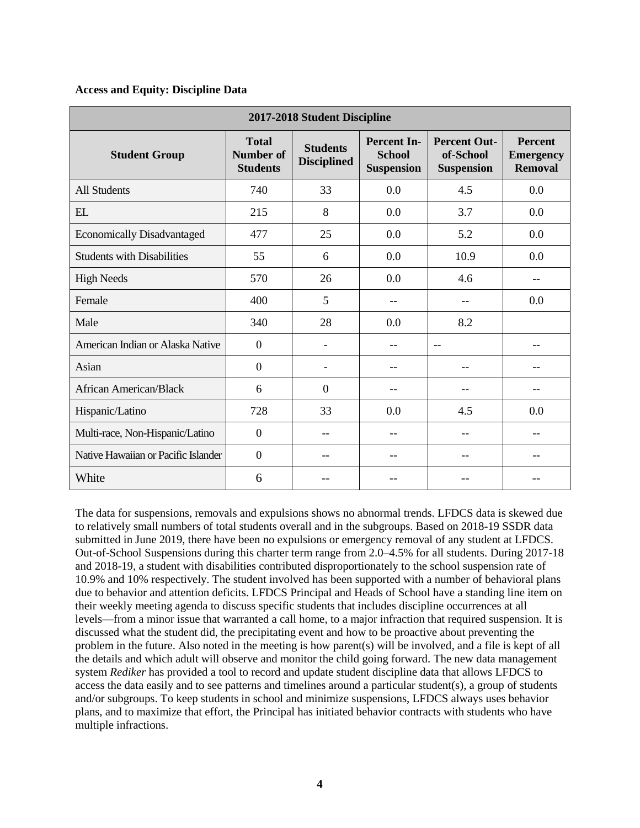#### **Access and Equity: Discipline Data**

| 2017-2018 Student Discipline        |                                                     |                                       |                                                          |                                                       |                                                      |
|-------------------------------------|-----------------------------------------------------|---------------------------------------|----------------------------------------------------------|-------------------------------------------------------|------------------------------------------------------|
| <b>Student Group</b>                | <b>Total</b><br><b>Number of</b><br><b>Students</b> | <b>Students</b><br><b>Disciplined</b> | <b>Percent In-</b><br><b>School</b><br><b>Suspension</b> | <b>Percent Out-</b><br>of-School<br><b>Suspension</b> | <b>Percent</b><br><b>Emergency</b><br><b>Removal</b> |
| <b>All Students</b>                 | 740                                                 | 33                                    | 0.0                                                      | 4.5                                                   | 0.0                                                  |
| <b>EL</b>                           | 215                                                 | 8                                     | 0.0                                                      | 3.7                                                   | 0.0                                                  |
| <b>Economically Disadvantaged</b>   | 477                                                 | 25                                    | 0.0                                                      | 5.2                                                   | 0.0                                                  |
| <b>Students with Disabilities</b>   | 55                                                  | 6                                     | 0.0                                                      | 10.9                                                  | 0.0                                                  |
| <b>High Needs</b>                   | 570                                                 | 26                                    | 0.0                                                      | 4.6                                                   |                                                      |
| Female                              | 400                                                 | 5                                     | --                                                       | --                                                    | 0.0                                                  |
| Male                                | 340                                                 | 28                                    | 0.0                                                      | 8.2                                                   |                                                      |
| American Indian or Alaska Native    | $\overline{0}$                                      | ۳                                     | --                                                       | $-$                                                   |                                                      |
| Asian                               | $\overline{0}$                                      |                                       |                                                          |                                                       |                                                      |
| African American/Black              | 6                                                   | $\Omega$                              | --                                                       |                                                       |                                                      |
| Hispanic/Latino                     | 728                                                 | 33                                    | 0.0                                                      | 4.5                                                   | 0.0                                                  |
| Multi-race, Non-Hispanic/Latino     | $\mathbf{0}$                                        | --                                    | $-$                                                      | $-$                                                   | --                                                   |
| Native Hawaiian or Pacific Islander | $\mathbf{0}$                                        | --                                    | --                                                       | --                                                    | --                                                   |
| White                               | 6                                                   |                                       |                                                          |                                                       |                                                      |

The data for suspensions, removals and expulsions shows no abnormal trends. LFDCS data is skewed due to relatively small numbers of total students overall and in the subgroups. Based on 2018-19 SSDR data submitted in June 2019, there have been no expulsions or emergency removal of any student at LFDCS. Out-of-School Suspensions during this charter term range from 2.0–4.5% for all students. During 2017-18 and 2018-19, a student with disabilities contributed disproportionately to the school suspension rate of 10.9% and 10% respectively. The student involved has been supported with a number of behavioral plans due to behavior and attention deficits. LFDCS Principal and Heads of School have a standing line item on their weekly meeting agenda to discuss specific students that includes discipline occurrences at all levels—from a minor issue that warranted a call home, to a major infraction that required suspension. It is discussed what the student did, the precipitating event and how to be proactive about preventing the problem in the future. Also noted in the meeting is how parent(s) will be involved, and a file is kept of all the details and which adult will observe and monitor the child going forward. The new data management system *Rediker* has provided a tool to record and update student discipline data that allows LFDCS to access the data easily and to see patterns and timelines around a particular student(s), a group of students and/or subgroups. To keep students in school and minimize suspensions, LFDCS always uses behavior plans, and to maximize that effort, the Principal has initiated behavior contracts with students who have multiple infractions.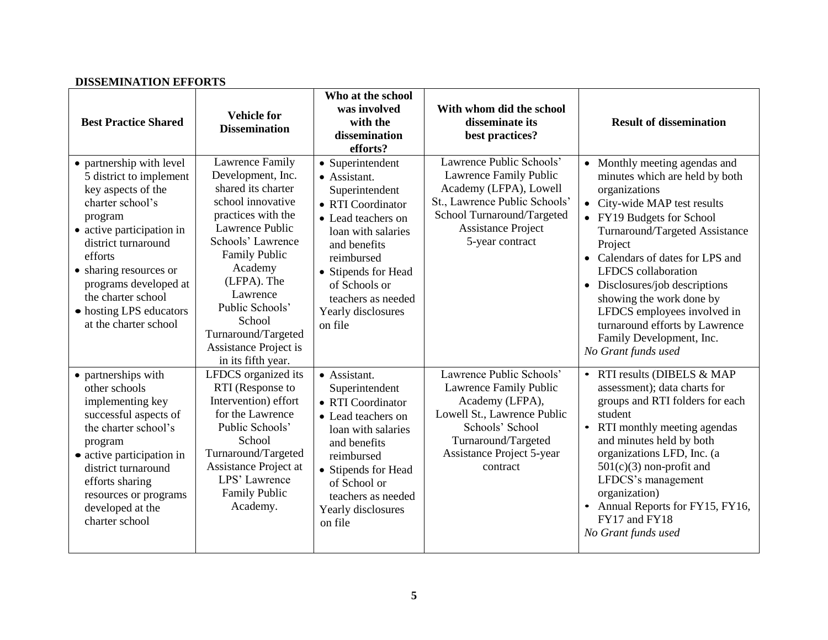| <b>Best Practice Shared</b>                                                                                                                                                                                                                                                                          | <b>Vehicle for</b><br><b>Dissemination</b>                                                                                                                                                                                                                                                                            | Who at the school<br>was involved<br>with the<br>dissemination<br>efforts?                                                                                                                                                                       | With whom did the school<br>disseminate its<br>best practices?                                                                                                                              | <b>Result of dissemination</b>                                                                                                                                                                                                                                                                                                                                                                                                          |
|------------------------------------------------------------------------------------------------------------------------------------------------------------------------------------------------------------------------------------------------------------------------------------------------------|-----------------------------------------------------------------------------------------------------------------------------------------------------------------------------------------------------------------------------------------------------------------------------------------------------------------------|--------------------------------------------------------------------------------------------------------------------------------------------------------------------------------------------------------------------------------------------------|---------------------------------------------------------------------------------------------------------------------------------------------------------------------------------------------|-----------------------------------------------------------------------------------------------------------------------------------------------------------------------------------------------------------------------------------------------------------------------------------------------------------------------------------------------------------------------------------------------------------------------------------------|
| • partnership with level<br>5 district to implement<br>key aspects of the<br>charter school's<br>program<br>• active participation in<br>district turnaround<br>efforts<br>• sharing resources or<br>programs developed at<br>the charter school<br>• hosting LPS educators<br>at the charter school | <b>Lawrence Family</b><br>Development, Inc.<br>shared its charter<br>school innovative<br>practices with the<br>Lawrence Public<br>Schools' Lawrence<br><b>Family Public</b><br>Academy<br>(LFPA). The<br>Lawrence<br>Public Schools'<br>School<br>Turnaround/Targeted<br>Assistance Project is<br>in its fifth year. | • Superintendent<br>• Assistant.<br>Superintendent<br>• RTI Coordinator<br>• Lead teachers on<br>loan with salaries<br>and benefits<br>reimbursed<br>• Stipends for Head<br>of Schools or<br>teachers as needed<br>Yearly disclosures<br>on file | Lawrence Public Schools'<br>Lawrence Family Public<br>Academy (LFPA), Lowell<br>St., Lawrence Public Schools'<br>School Turnaround/Targeted<br><b>Assistance Project</b><br>5-year contract | • Monthly meeting agendas and<br>minutes which are held by both<br>organizations<br>• City-wide MAP test results<br>• FY19 Budgets for School<br>Turnaround/Targeted Assistance<br>Project<br>• Calendars of dates for LPS and<br>LFDCS collaboration<br>• Disclosures/job descriptions<br>showing the work done by<br>LFDCS employees involved in<br>turnaround efforts by Lawrence<br>Family Development, Inc.<br>No Grant funds used |
| • partnerships with<br>other schools<br>implementing key<br>successful aspects of<br>the charter school's<br>program<br>• active participation in<br>district turnaround<br>efforts sharing<br>resources or programs<br>developed at the<br>charter school                                           | LFDCS organized its<br>RTI (Response to<br>Intervention) effort<br>for the Lawrence<br>Public Schools'<br>School<br>Turnaround/Targeted<br>Assistance Project at<br>LPS' Lawrence<br><b>Family Public</b><br>Academy.                                                                                                 | • Assistant.<br>Superintendent<br>• RTI Coordinator<br>• Lead teachers on<br>loan with salaries<br>and benefits<br>reimbursed<br>• Stipends for Head<br>of School or<br>teachers as needed<br>Yearly disclosures<br>on file                      | Lawrence Public Schools'<br>Lawrence Family Public<br>Academy (LFPA),<br>Lowell St., Lawrence Public<br>Schools' School<br>Turnaround/Targeted<br>Assistance Project 5-year<br>contract     | • RTI results (DIBELS & MAP<br>assessment); data charts for<br>groups and RTI folders for each<br>student<br>• RTI monthly meeting agendas<br>and minutes held by both<br>organizations LFD, Inc. (a<br>$501(c)(3)$ non-profit and<br>LFDCS's management<br>organization)<br>• Annual Reports for FY15, FY16,<br>FY17 and FY18<br>No Grant funds used                                                                                   |

#### **DISSEMINATION EFFORTS**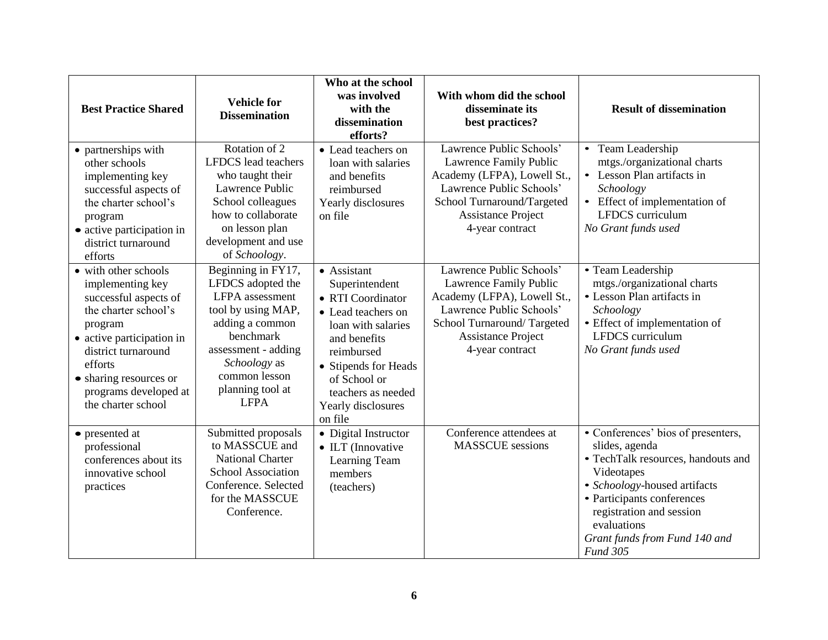| <b>Best Practice Shared</b>                                                                                                                                                                                                                  | <b>Vehicle for</b><br><b>Dissemination</b>                                                                                                                                                                  | Who at the school<br>was involved<br>with the<br>dissemination<br>efforts?                                                                                                                                                  | With whom did the school<br>disseminate its<br>best practices?                                                                                                                              | <b>Result of dissemination</b>                                                                                                                                                                                                                                        |
|----------------------------------------------------------------------------------------------------------------------------------------------------------------------------------------------------------------------------------------------|-------------------------------------------------------------------------------------------------------------------------------------------------------------------------------------------------------------|-----------------------------------------------------------------------------------------------------------------------------------------------------------------------------------------------------------------------------|---------------------------------------------------------------------------------------------------------------------------------------------------------------------------------------------|-----------------------------------------------------------------------------------------------------------------------------------------------------------------------------------------------------------------------------------------------------------------------|
| • partnerships with<br>other schools<br>implementing key<br>successful aspects of<br>the charter school's<br>program<br>$\bullet$ active participation in<br>district turnaround<br>efforts                                                  | Rotation of 2<br><b>LFDCS</b> lead teachers<br>who taught their<br>Lawrence Public<br>School colleagues<br>how to collaborate<br>on lesson plan<br>development and use<br>of Schoology.                     | • Lead teachers on<br>loan with salaries<br>and benefits<br>reimbursed<br>Yearly disclosures<br>on file                                                                                                                     | Lawrence Public Schools'<br>Lawrence Family Public<br>Academy (LFPA), Lowell St.,<br>Lawrence Public Schools'<br>School Turnaround/Targeted<br><b>Assistance Project</b><br>4-year contract | • Team Leadership<br>mtgs./organizational charts<br>• Lesson Plan artifacts in<br>Schoology<br>• Effect of implementation of<br>LFDCS curriculum<br>No Grant funds used                                                                                               |
| • with other schools<br>implementing key<br>successful aspects of<br>the charter school's<br>program<br>• active participation in<br>district turnaround<br>efforts<br>• sharing resources or<br>programs developed at<br>the charter school | Beginning in FY17,<br>LFDCS adopted the<br>LFPA assessment<br>tool by using MAP,<br>adding a common<br>benchmark<br>assessment - adding<br>Schoology as<br>common lesson<br>planning tool at<br><b>LFPA</b> | • Assistant<br>Superintendent<br>• RTI Coordinator<br>• Lead teachers on<br>loan with salaries<br>and benefits<br>reimbursed<br>• Stipends for Heads<br>of School or<br>teachers as needed<br>Yearly disclosures<br>on file | Lawrence Public Schools'<br>Lawrence Family Public<br>Academy (LFPA), Lowell St.,<br>Lawrence Public Schools'<br>School Turnaround/Targeted<br><b>Assistance Project</b><br>4-year contract | • Team Leadership<br>mtgs./organizational charts<br>• Lesson Plan artifacts in<br>Schoology<br>• Effect of implementation of<br>LFDCS curriculum<br>No Grant funds used                                                                                               |
| • presented at<br>professional<br>conferences about its<br>innovative school<br>practices                                                                                                                                                    | Submitted proposals<br>to MASSCUE and<br><b>National Charter</b><br><b>School Association</b><br>Conference, Selected<br>for the MASSCUE<br>Conference.                                                     | • Digital Instructor<br>• ILT (Innovative<br>Learning Team<br>members<br>(teachers)                                                                                                                                         | Conference attendees at<br><b>MASSCUE</b> sessions                                                                                                                                          | • Conferences' bios of presenters,<br>slides, agenda<br>• TechTalk resources, handouts and<br>Videotapes<br>· Schoology-housed artifacts<br>• Participants conferences<br>registration and session<br>evaluations<br>Grant funds from Fund 140 and<br><b>Fund 305</b> |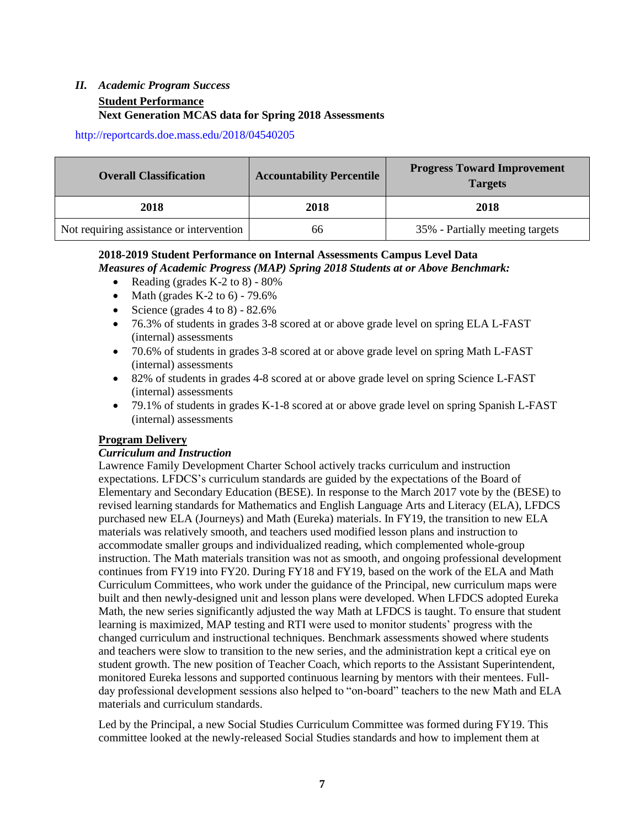#### *II. Academic Program Success* **Student Performance Next Generation MCAS data for Spring 2018 Assessments**

<http://reportcards.doe.mass.edu/2018/04540205>

| <b>Overall Classification</b>            | <b>Accountability Percentile</b> | <b>Progress Toward Improvement</b><br><b>Targets</b> |
|------------------------------------------|----------------------------------|------------------------------------------------------|
| 2018                                     | 2018                             | 2018                                                 |
| Not requiring assistance or intervention | 66                               | 35% - Partially meeting targets                      |

#### **2018-2019 Student Performance on Internal Assessments Campus Level Data**

*Measures of Academic Progress (MAP) Spring 2018 Students at or Above Benchmark:*

- Reading (grades K-2 to 8)  $80\%$
- Math (grades K-2 to 6)  $79.6\%$
- Science (grades  $4 \text{ to } 8$ )  $82.6\%$
- 76.3% of students in grades 3-8 scored at or above grade level on spring ELA L-FAST (internal) assessments
- 70.6% of students in grades 3-8 scored at or above grade level on spring Math L-FAST (internal) assessments
- 82% of students in grades 4-8 scored at or above grade level on spring Science L-FAST (internal) assessments
- 79.1% of students in grades K-1-8 scored at or above grade level on spring Spanish L-FAST (internal) assessments

#### **Program Delivery**

#### *Curriculum and Instruction*

Lawrence Family Development Charter School actively tracks curriculum and instruction expectations. LFDCS's curriculum standards are guided by the expectations of the Board of Elementary and Secondary Education (BESE). In response to the March 2017 vote by the (BESE) to revised learning standards for Mathematics and English Language Arts and Literacy (ELA), LFDCS purchased new ELA (Journeys) and Math (Eureka) materials. In FY19, the transition to new ELA materials was relatively smooth, and teachers used modified lesson plans and instruction to accommodate smaller groups and individualized reading, which complemented whole-group instruction. The Math materials transition was not as smooth, and ongoing professional development continues from FY19 into FY20. During FY18 and FY19, based on the work of the ELA and Math Curriculum Committees, who work under the guidance of the Principal, new curriculum maps were built and then newly-designed unit and lesson plans were developed. When LFDCS adopted Eureka Math, the new series significantly adjusted the way Math at LFDCS is taught. To ensure that student learning is maximized, MAP testing and RTI were used to monitor students' progress with the changed curriculum and instructional techniques. Benchmark assessments showed where students and teachers were slow to transition to the new series, and the administration kept a critical eye on student growth. The new position of Teacher Coach, which reports to the Assistant Superintendent, monitored Eureka lessons and supported continuous learning by mentors with their mentees. Fullday professional development sessions also helped to "on-board" teachers to the new Math and ELA materials and curriculum standards.

Led by the Principal, a new Social Studies Curriculum Committee was formed during FY19. This committee looked at the newly-released Social Studies standards and how to implement them at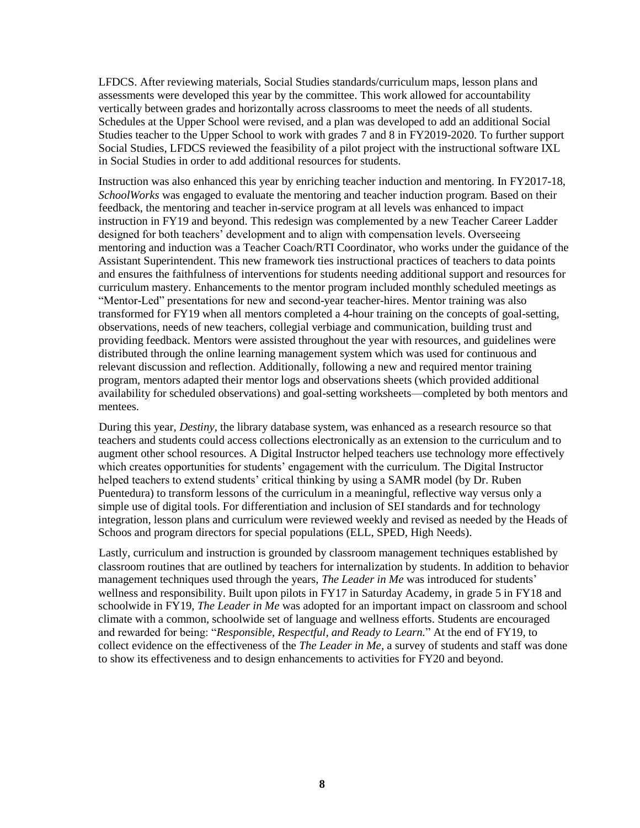LFDCS. After reviewing materials, Social Studies standards/curriculum maps, lesson plans and assessments were developed this year by the committee. This work allowed for accountability vertically between grades and horizontally across classrooms to meet the needs of all students. Schedules at the Upper School were revised, and a plan was developed to add an additional Social Studies teacher to the Upper School to work with grades 7 and 8 in FY2019-2020. To further support Social Studies, LFDCS reviewed the feasibility of a pilot project with the instructional software IXL in Social Studies in order to add additional resources for students.

Instruction was also enhanced this year by enriching teacher induction and mentoring. In FY2017-18, *SchoolWorks* was engaged to evaluate the mentoring and teacher induction program. Based on their feedback, the mentoring and teacher in-service program at all levels was enhanced to impact instruction in FY19 and beyond. This redesign was complemented by a new Teacher Career Ladder designed for both teachers' development and to align with compensation levels. Overseeing mentoring and induction was a Teacher Coach/RTI Coordinator, who works under the guidance of the Assistant Superintendent. This new framework ties instructional practices of teachers to data points and ensures the faithfulness of interventions for students needing additional support and resources for curriculum mastery. Enhancements to the mentor program included monthly scheduled meetings as "Mentor-Led" presentations for new and second-year teacher-hires. Mentor training was also transformed for FY19 when all mentors completed a 4-hour training on the concepts of goal-setting, observations, needs of new teachers, collegial verbiage and communication, building trust and providing feedback. Mentors were assisted throughout the year with resources, and guidelines were distributed through the online learning management system which was used for continuous and relevant discussion and reflection. Additionally, following a new and required mentor training program, mentors adapted their mentor logs and observations sheets (which provided additional availability for scheduled observations) and goal-setting worksheets—completed by both mentors and mentees.

During this year, *Destiny*, the library database system, was enhanced as a research resource so that teachers and students could access collections electronically as an extension to the curriculum and to augment other school resources. A Digital Instructor helped teachers use technology more effectively which creates opportunities for students' engagement with the curriculum. The Digital Instructor helped teachers to extend students' critical thinking by using a SAMR model (by Dr. Ruben Puentedura) to transform lessons of the curriculum in a meaningful, reflective way versus only a simple use of digital tools. For differentiation and inclusion of SEI standards and for technology integration, lesson plans and curriculum were reviewed weekly and revised as needed by the Heads of Schoos and program directors for special populations (ELL, SPED, High Needs).

Lastly, curriculum and instruction is grounded by classroom management techniques established by classroom routines that are outlined by teachers for internalization by students. In addition to behavior management techniques used through the years, *The Leader in Me* was introduced for students' wellness and responsibility. Built upon pilots in FY17 in Saturday Academy, in grade 5 in FY18 and schoolwide in FY19, *The Leader in Me* was adopted for an important impact on classroom and school climate with a common, schoolwide set of language and wellness efforts. Students are encouraged and rewarded for being: "*Responsible, Respectful, and Ready to Learn.*" At the end of FY19, to collect evidence on the effectiveness of the *The Leader in Me,* a survey of students and staff was done to show its effectiveness and to design enhancements to activities for FY20 and beyond.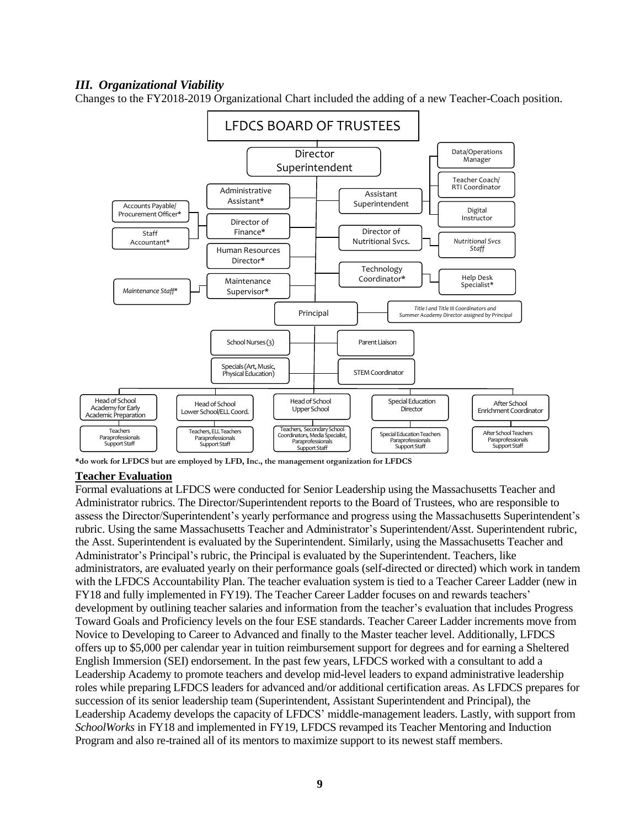#### *III. Organizational Viability*

Changes to the FY2018-2019 Organizational Chart included the adding of a new Teacher-Coach position.



**\*do work for LFDCS but are employed by LFD, Inc., the management organization for LFDCS**

#### **Teacher Evaluation**

Formal evaluations at LFDCS were conducted for Senior Leadership using the Massachusetts Teacher and Administrator rubrics. The Director/Superintendent reports to the Board of Trustees, who are responsible to assess the Director/Superintendent's yearly performance and progress using the Massachusetts Superintendent's rubric. Using the same Massachusetts Teacher and Administrator's Superintendent/Asst. Superintendent rubric, the Asst. Superintendent is evaluated by the Superintendent. Similarly, using the Massachusetts Teacher and Administrator's Principal's rubric, the Principal is evaluated by the Superintendent. Teachers, like administrators, are evaluated yearly on their performance goals (self-directed or directed) which work in tandem with the LFDCS Accountability Plan. The teacher evaluation system is tied to a Teacher Career Ladder (new in FY18 and fully implemented in FY19). The Teacher Career Ladder focuses on and rewards teachers' development by outlining teacher salaries and information from the teacher's evaluation that includes Progress Toward Goals and Proficiency levels on the four ESE standards. Teacher Career Ladder increments move from Novice to Developing to Career to Advanced and finally to the Master teacher level. Additionally, LFDCS offers up to \$5,000 per calendar year in tuition reimbursement support for degrees and for earning a Sheltered English Immersion (SEI) endorsement. In the past few years, LFDCS worked with a consultant to add a Leadership Academy to promote teachers and develop mid-level leaders to expand administrative leadership roles while preparing LFDCS leaders for advanced and/or additional certification areas. As LFDCS prepares for succession of its senior leadership team (Superintendent, Assistant Superintendent and Principal), the Leadership Academy develops the capacity of LFDCS' middle-management leaders. Lastly, with support from *SchoolWorks* in FY18 and implemented in FY19, LFDCS revamped its Teacher Mentoring and Induction Program and also re-trained all of its mentors to maximize support to its newest staff members.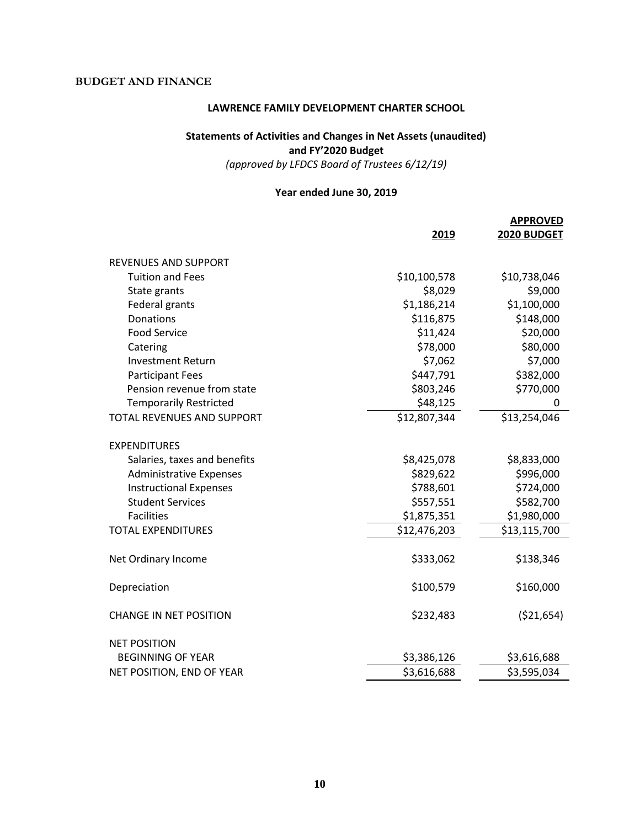#### **BUDGET AND FINANCE**

#### **LAWRENCE FAMILY DEVELOPMENT CHARTER SCHOOL**

#### **Statements of Activities and Changes in Net Assets (unaudited) and FY'2020 Budget**

*(approved by LFDCS Board of Trustees 6/12/19)*

#### **Year ended June 30, 2019**

|                                   | 2019         | <b>APPROVED</b><br>2020 BUDGET |
|-----------------------------------|--------------|--------------------------------|
| <b>REVENUES AND SUPPORT</b>       |              |                                |
| <b>Tuition and Fees</b>           | \$10,100,578 | \$10,738,046                   |
| State grants                      | \$8,029      | \$9,000                        |
| Federal grants                    | \$1,186,214  | \$1,100,000                    |
| Donations                         | \$116,875    | \$148,000                      |
| <b>Food Service</b>               | \$11,424     | \$20,000                       |
| Catering                          | \$78,000     | \$80,000                       |
| <b>Investment Return</b>          | \$7,062      | \$7,000                        |
| <b>Participant Fees</b>           | \$447,791    | \$382,000                      |
| Pension revenue from state        | \$803,246    | \$770,000                      |
| <b>Temporarily Restricted</b>     | \$48,125     | 0                              |
| <b>TOTAL REVENUES AND SUPPORT</b> | \$12,807,344 | \$13,254,046                   |
| <b>EXPENDITURES</b>               |              |                                |
| Salaries, taxes and benefits      | \$8,425,078  | \$8,833,000                    |
| <b>Administrative Expenses</b>    | \$829,622    | \$996,000                      |
| <b>Instructional Expenses</b>     | \$788,601    | \$724,000                      |
| <b>Student Services</b>           | \$557,551    | \$582,700                      |
| <b>Facilities</b>                 | \$1,875,351  | \$1,980,000                    |
| <b>TOTAL EXPENDITURES</b>         | \$12,476,203 | \$13,115,700                   |
| Net Ordinary Income               | \$333,062    | \$138,346                      |
| Depreciation                      | \$100,579    | \$160,000                      |
| <b>CHANGE IN NET POSITION</b>     | \$232,483    | ( \$21,654)                    |
| <b>NET POSITION</b>               |              |                                |
| <b>BEGINNING OF YEAR</b>          | \$3,386,126  | \$3,616,688                    |
| NET POSITION, END OF YEAR         | \$3,616,688  | \$3,595,034                    |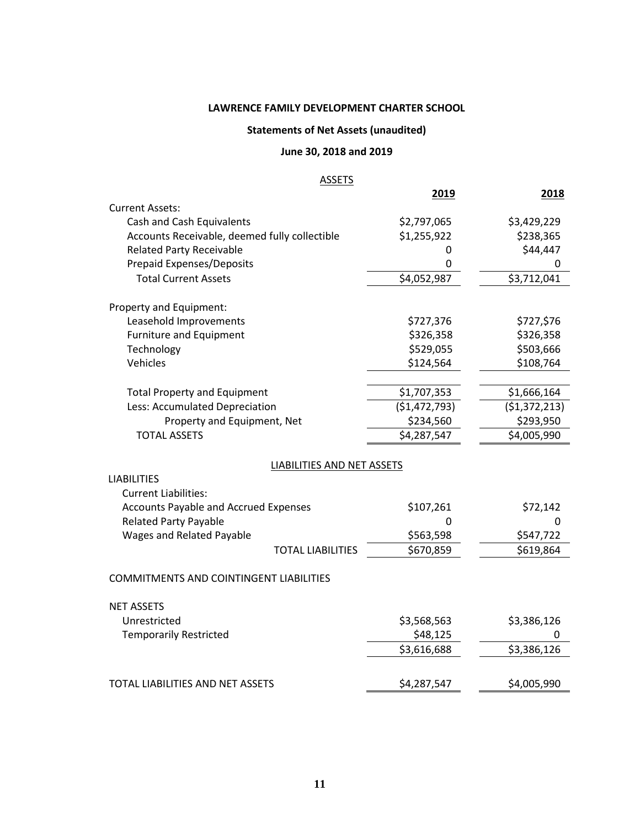#### **LAWRENCE FAMILY DEVELOPMENT CHARTER SCHOOL**

#### **Statements of Net Assets (unaudited)**

#### **June 30, 2018 and 2019**

#### **ASSETS**

|                                                | 2019          | 2018          |
|------------------------------------------------|---------------|---------------|
| <b>Current Assets:</b>                         |               |               |
| Cash and Cash Equivalents                      | \$2,797,065   | \$3,429,229   |
| Accounts Receivable, deemed fully collectible  | \$1,255,922   | \$238,365     |
| <b>Related Party Receivable</b>                | 0             | \$44,447      |
| <b>Prepaid Expenses/Deposits</b>               | 0             | 0             |
| <b>Total Current Assets</b>                    | \$4,052,987   | \$3,712,041   |
| Property and Equipment:                        |               |               |
| Leasehold Improvements                         | \$727,376     | \$727,\$76    |
| <b>Furniture and Equipment</b>                 | \$326,358     | \$326,358     |
| Technology                                     | \$529,055     | \$503,666     |
| Vehicles                                       | \$124,564     | \$108,764     |
|                                                |               |               |
| <b>Total Property and Equipment</b>            | \$1,707,353   | \$1,666,164   |
| Less: Accumulated Depreciation                 | (\$1,472,793) | (\$1,372,213) |
| Property and Equipment, Net                    | \$234,560     | \$293,950     |
| <b>TOTAL ASSETS</b>                            | \$4,287,547   | \$4,005,990   |
| LIABILITIES AND NET ASSETS                     |               |               |
| <b>LIABILITIES</b>                             |               |               |
| <b>Current Liabilities:</b>                    |               |               |
| <b>Accounts Payable and Accrued Expenses</b>   | \$107,261     | \$72,142      |
| <b>Related Party Payable</b>                   | 0             | 0             |
| <b>Wages and Related Payable</b>               | \$563,598     | \$547,722     |
| <b>TOTAL LIABILITIES</b>                       | \$670,859     | \$619,864     |
| <b>COMMITMENTS AND COINTINGENT LIABILITIES</b> |               |               |
|                                                |               |               |
| <b>NET ASSETS</b>                              |               |               |
| Unrestricted                                   | \$3,568,563   | \$3,386,126   |
| <b>Temporarily Restricted</b>                  | \$48,125      | 0             |
|                                                | \$3,616,688   | \$3,386,126   |
| <b>TOTAL LIABILITIES AND NET ASSETS</b>        | \$4,287,547   | \$4,005,990   |
|                                                |               |               |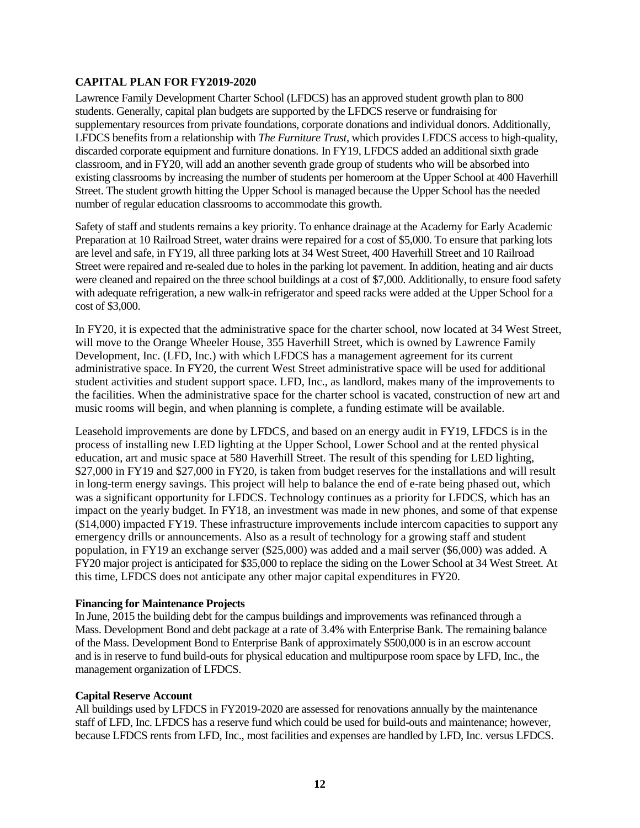#### **CAPITAL PLAN FOR FY2019-2020**

Lawrence Family Development Charter School (LFDCS) has an approved student growth plan to 800 students. Generally, capital plan budgets are supported by the LFDCS reserve or fundraising for supplementary resources from private foundations, corporate donations and individual donors. Additionally, LFDCS benefits from a relationship with *The Furniture Trust,* which provides LFDCS access to high-quality, discarded corporate equipment and furniture donations*.* In FY19, LFDCS added an additional sixth grade classroom, and in FY20, will add an another seventh grade group of students who will be absorbed into existing classrooms by increasing the number of students per homeroom at the Upper School at 400 Haverhill Street. The student growth hitting the Upper School is managed because the Upper School has the needed number of regular education classrooms to accommodate this growth.

Safety of staff and students remains a key priority. To enhance drainage at the Academy for Early Academic Preparation at 10 Railroad Street, water drains were repaired for a cost of \$5,000. To ensure that parking lots are level and safe, in FY19, all three parking lots at 34 West Street, 400 Haverhill Street and 10 Railroad Street were repaired and re-sealed due to holes in the parking lot pavement. In addition, heating and air ducts were cleaned and repaired on the three school buildings at a cost of \$7,000. Additionally, to ensure food safety with adequate refrigeration, a new walk-in refrigerator and speed racks were added at the Upper School for a cost of \$3,000.

In FY20, it is expected that the administrative space for the charter school, now located at 34 West Street, will move to the Orange Wheeler House, 355 Haverhill Street, which is owned by Lawrence Family Development, Inc. (LFD, Inc.) with which LFDCS has a management agreement for its current administrative space. In FY20, the current West Street administrative space will be used for additional student activities and student support space. LFD, Inc., as landlord, makes many of the improvements to the facilities. When the administrative space for the charter school is vacated, construction of new art and music rooms will begin, and when planning is complete, a funding estimate will be available.

Leasehold improvements are done by LFDCS, and based on an energy audit in FY19, LFDCS is in the process of installing new LED lighting at the Upper School, Lower School and at the rented physical education, art and music space at 580 Haverhill Street. The result of this spending for LED lighting, \$27,000 in FY19 and \$27,000 in FY20, is taken from budget reserves for the installations and will result in long-term energy savings. This project will help to balance the end of e-rate being phased out, which was a significant opportunity for LFDCS. Technology continues as a priority for LFDCS, which has an impact on the yearly budget. In FY18, an investment was made in new phones, and some of that expense (\$14,000) impacted FY19. These infrastructure improvements include intercom capacities to support any emergency drills or announcements. Also as a result of technology for a growing staff and student population, in FY19 an exchange server (\$25,000) was added and a mail server (\$6,000) was added. A FY20 major project is anticipated for \$35,000 to replace the siding on the Lower School at 34 West Street. At this time, LFDCS does not anticipate any other major capital expenditures in FY20.

#### **Financing for Maintenance Projects**

In June, 2015 the building debt for the campus buildings and improvements was refinanced through a Mass. Development Bond and debt package at a rate of 3.4% with Enterprise Bank. The remaining balance of the Mass. Development Bond to Enterprise Bank of approximately \$500,000 is in an escrow account and is in reserve to fund build-outs for physical education and multipurpose room space by LFD, Inc., the management organization of LFDCS.

#### **Capital Reserve Account**

All buildings used by LFDCS in FY2019-2020 are assessed for renovations annually by the maintenance staff of LFD, Inc. LFDCS has a reserve fund which could be used for build-outs and maintenance; however, because LFDCS rents from LFD, Inc., most facilities and expenses are handled by LFD, Inc. versus LFDCS.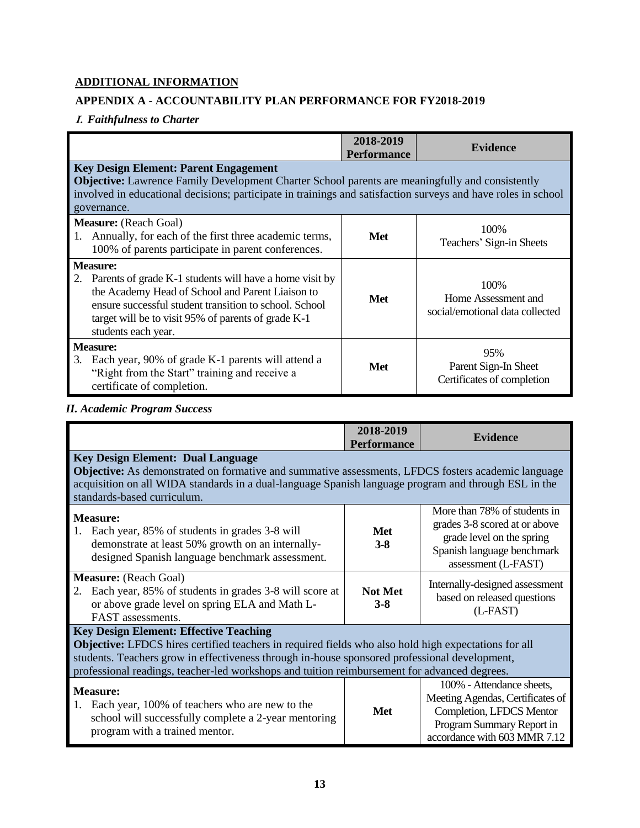#### **ADDITIONAL INFORMATION**

#### **APPENDIX A - ACCOUNTABILITY PLAN PERFORMANCE FOR FY2018-2019**

#### **I.** *Faithfulness to Charter*

|                                                                                                                                                                                                                                                                           | 2018-2019<br><b>Performance</b> | <b>Evidence</b>                                                 |
|---------------------------------------------------------------------------------------------------------------------------------------------------------------------------------------------------------------------------------------------------------------------------|---------------------------------|-----------------------------------------------------------------|
| <b>Key Design Element: Parent Engagement</b>                                                                                                                                                                                                                              |                                 |                                                                 |
| Objective: Lawrence Family Development Charter School parents are meaningfully and consistently<br>involved in educational decisions; participate in trainings and satisfaction surveys and have roles in school<br>governance.                                           |                                 |                                                                 |
| <b>Measure:</b> (Reach Goal)<br>1. Annually, for each of the first three academic terms,<br>100% of parents participate in parent conferences.                                                                                                                            | Met                             | 100\%<br>Teachers' Sign-in Sheets                               |
| <b>Measure:</b><br>2. Parents of grade K-1 students will have a home visit by<br>the Academy Head of School and Parent Liaison to<br>ensure successful student transition to school. School<br>target will be to visit 95% of parents of grade K-1<br>students each year. | Met                             | 100\%<br>Home Assessment and<br>social/emotional data collected |
| <b>Measure:</b><br>Each year, 90% of grade K-1 parents will attend a<br>3.<br>"Right from the Start" training and receive a<br>certificate of completion.                                                                                                                 | Met                             | 95%<br>Parent Sign-In Sheet<br>Certificates of completion       |

#### *II. Academic Program Success*

| <b>Met</b>     | Objective: As demonstrated on formative and summative assessments, LFDCS fosters academic language<br>acquisition on all WIDA standards in a dual-language Spanish language program and through ESL in the<br>More than 78% of students in                                                                                                                                                                                      |
|----------------|---------------------------------------------------------------------------------------------------------------------------------------------------------------------------------------------------------------------------------------------------------------------------------------------------------------------------------------------------------------------------------------------------------------------------------|
|                |                                                                                                                                                                                                                                                                                                                                                                                                                                 |
|                | grades 3-8 scored at or above<br>grade level on the spring<br>Spanish language benchmark<br>assessment (L-FAST)                                                                                                                                                                                                                                                                                                                 |
| <b>Not Met</b> | Internally-designed assessment<br>based on released questions<br>(L-FAST)                                                                                                                                                                                                                                                                                                                                                       |
| <b>Met</b>     | Objective: LFDCS hires certified teachers in required fields who also hold high expectations for all<br>students. Teachers grow in effectiveness through in-house sponsored professional development,<br>professional readings, teacher-led workshops and tuition reimbursement for advanced degrees.<br>100% - Attendance sheets,<br>Meeting Agendas, Certificates of<br>Completion, LFDCS Mentor<br>Program Summary Report in |
|                | accordance with 603 MMR 7.12                                                                                                                                                                                                                                                                                                                                                                                                    |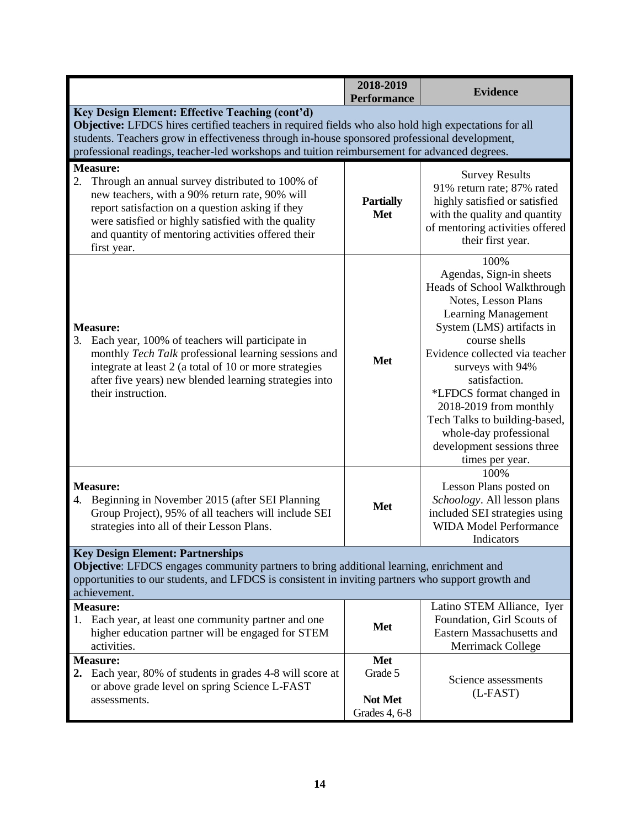|                                                                                                                                                                                                                                                                                                                                                          | 2018-2019<br><b>Performance</b>            | <b>Evidence</b>                                                                                                                                                                                                                                                                                                                                                                                            |  |
|----------------------------------------------------------------------------------------------------------------------------------------------------------------------------------------------------------------------------------------------------------------------------------------------------------------------------------------------------------|--------------------------------------------|------------------------------------------------------------------------------------------------------------------------------------------------------------------------------------------------------------------------------------------------------------------------------------------------------------------------------------------------------------------------------------------------------------|--|
| Key Design Element: Effective Teaching (cont'd)<br>Objective: LFDCS hires certified teachers in required fields who also hold high expectations for all<br>students. Teachers grow in effectiveness through in-house sponsored professional development,<br>professional readings, teacher-led workshops and tuition reimbursement for advanced degrees. |                                            |                                                                                                                                                                                                                                                                                                                                                                                                            |  |
| <b>Measure:</b><br>2.<br>Through an annual survey distributed to 100% of<br>new teachers, with a 90% return rate, 90% will<br>report satisfaction on a question asking if they<br>were satisfied or highly satisfied with the quality<br>and quantity of mentoring activities offered their<br>first year.                                               | <b>Partially</b><br><b>Met</b>             | <b>Survey Results</b><br>91% return rate; 87% rated<br>highly satisfied or satisfied<br>with the quality and quantity<br>of mentoring activities offered<br>their first year.                                                                                                                                                                                                                              |  |
| <b>Measure:</b><br>3. Each year, 100% of teachers will participate in<br>monthly Tech Talk professional learning sessions and<br>integrate at least 2 (a total of 10 or more strategies<br>after five years) new blended learning strategies into<br>their instruction.                                                                                  | <b>Met</b>                                 | 100%<br>Agendas, Sign-in sheets<br>Heads of School Walkthrough<br>Notes, Lesson Plans<br><b>Learning Management</b><br>System (LMS) artifacts in<br>course shells<br>Evidence collected via teacher<br>surveys with 94%<br>satisfaction.<br>*LFDCS format changed in<br>2018-2019 from monthly<br>Tech Talks to building-based,<br>whole-day professional<br>development sessions three<br>times per year. |  |
| <b>Measure:</b><br>4. Beginning in November 2015 (after SEI Planning<br>Group Project), 95% of all teachers will include SEI<br>strategies into all of their Lesson Plans.                                                                                                                                                                               | <b>Met</b>                                 | 100%<br>Lesson Plans posted on<br>Schoology. All lesson plans<br>included SEI strategies using<br><b>WIDA Model Performance</b><br>Indicators                                                                                                                                                                                                                                                              |  |
| <b>Key Design Element: Partnerships</b><br>Objective: LFDCS engages community partners to bring additional learning, enrichment and<br>opportunities to our students, and LFDCS is consistent in inviting partners who support growth and<br>achievement.                                                                                                |                                            |                                                                                                                                                                                                                                                                                                                                                                                                            |  |
| <b>Measure:</b><br>Each year, at least one community partner and one<br>1.<br>higher education partner will be engaged for STEM<br>activities.                                                                                                                                                                                                           | Met                                        | Latino STEM Alliance, Iyer<br>Foundation, Girl Scouts of<br><b>Eastern Massachusetts and</b><br>Merrimack College                                                                                                                                                                                                                                                                                          |  |
| <b>Measure:</b><br>2. Each year, 80% of students in grades 4-8 will score at<br>or above grade level on spring Science L-FAST<br>assessments.                                                                                                                                                                                                            | Met<br>Grade 5<br>Not Met<br>Grades 4, 6-8 | Science assessments<br>$(L-FAST)$                                                                                                                                                                                                                                                                                                                                                                          |  |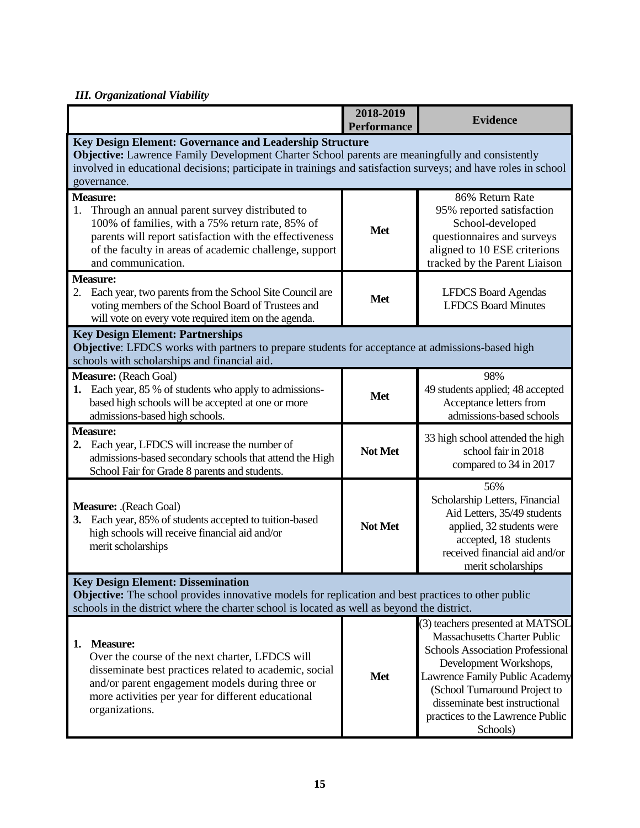#### *III. Organizational Viability*

|                                                                                                                                                                                                                                                               | 2018-2019<br><b>Performance</b> | <b>Evidence</b>                                                                                                                                                                                                                                                                                   |
|---------------------------------------------------------------------------------------------------------------------------------------------------------------------------------------------------------------------------------------------------------------|---------------------------------|---------------------------------------------------------------------------------------------------------------------------------------------------------------------------------------------------------------------------------------------------------------------------------------------------|
| Key Design Element: Governance and Leadership Structure                                                                                                                                                                                                       |                                 |                                                                                                                                                                                                                                                                                                   |
| Objective: Lawrence Family Development Charter School parents are meaningfully and consistently                                                                                                                                                               |                                 |                                                                                                                                                                                                                                                                                                   |
| involved in educational decisions; participate in trainings and satisfaction surveys; and have roles in school                                                                                                                                                |                                 |                                                                                                                                                                                                                                                                                                   |
| governance.<br><b>Measure:</b>                                                                                                                                                                                                                                |                                 | 86% Return Rate                                                                                                                                                                                                                                                                                   |
| Through an annual parent survey distributed to<br>1.<br>100% of families, with a 75% return rate, 85% of<br>parents will report satisfaction with the effectiveness<br>of the faculty in areas of academic challenge, support<br>and communication.           | <b>Met</b>                      | 95% reported satisfaction<br>School-developed<br>questionnaires and surveys<br>aligned to 10 ESE criterions<br>tracked by the Parent Liaison                                                                                                                                                      |
| <b>Measure:</b>                                                                                                                                                                                                                                               |                                 |                                                                                                                                                                                                                                                                                                   |
| Each year, two parents from the School Site Council are<br>2.<br>voting members of the School Board of Trustees and<br>will vote on every vote required item on the agenda.                                                                                   | <b>Met</b>                      | <b>LFDCS Board Agendas</b><br><b>LFDCS Board Minutes</b>                                                                                                                                                                                                                                          |
| <b>Key Design Element: Partnerships</b><br>Objective: LFDCS works with partners to prepare students for acceptance at admissions-based high<br>schools with scholarships and financial aid.                                                                   |                                 |                                                                                                                                                                                                                                                                                                   |
| Measure: (Reach Goal)                                                                                                                                                                                                                                         |                                 | 98%                                                                                                                                                                                                                                                                                               |
| 1. Each year, 85 % of students who apply to admissions-<br>based high schools will be accepted at one or more<br>admissions-based high schools.                                                                                                               | <b>Met</b>                      | 49 students applied; 48 accepted<br>Acceptance letters from<br>admissions-based schools                                                                                                                                                                                                           |
| <b>Measure:</b><br>2. Each year, LFDCS will increase the number of<br>admissions-based secondary schools that attend the High<br>School Fair for Grade 8 parents and students.                                                                                | Not Met                         | 33 high school attended the high<br>school fair in 2018<br>compared to 34 in 2017                                                                                                                                                                                                                 |
| Measure: .(Reach Goal)<br>3. Each year, 85% of students accepted to tuition-based<br>high schools will receive financial aid and/or<br>merit scholarships                                                                                                     | Not Met                         | 56%<br>Scholarship Letters, Financial<br>Aid Letters, 35/49 students<br>applied, 32 students were<br>accepted, 18 students<br>received financial aid and/or<br>merit scholarships                                                                                                                 |
| <b>Key Design Element: Dissemination</b>                                                                                                                                                                                                                      |                                 |                                                                                                                                                                                                                                                                                                   |
| Objective: The school provides innovative models for replication and best practices to other public<br>schools in the district where the charter school is located as well as beyond the district.                                                            |                                 |                                                                                                                                                                                                                                                                                                   |
| <b>Measure:</b><br>1.<br>Over the course of the next charter, LFDCS will<br>disseminate best practices related to academic, social<br>and/or parent engagement models during three or<br>more activities per year for different educational<br>organizations. | <b>Met</b>                      | (3) teachers presented at MATSOL<br><b>Massachusetts Charter Public</b><br><b>Schools Association Professional</b><br>Development Workshops,<br>Lawrence Family Public Academy<br>(School Turnaround Project to<br>disseminate best instructional<br>practices to the Lawrence Public<br>Schools) |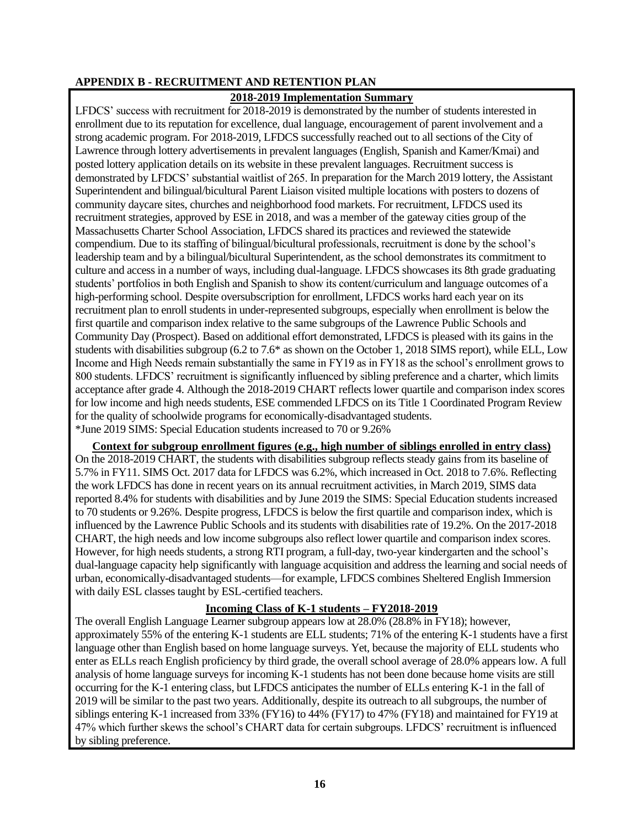#### **APPENDIX B - RECRUITMENT AND RETENTION PLAN**

#### **2018-2019 Implementation Summary**

LFDCS' success with recruitment for 2018-2019 is demonstrated by the number of students interested in enrollment due to its reputation for excellence, dual language, encouragement of parent involvement and a strong academic program. For 2018-2019, LFDCS successfully reached out to all sections of the City of Lawrence through lottery advertisements in prevalent languages (English, Spanish and Kamer/Kmai) and posted lottery application details on its website in these prevalent languages. Recruitment success is demonstrated by LFDCS' substantial waitlist of 265. In preparation for the March 2019 lottery, the Assistant Superintendent and bilingual/bicultural Parent Liaison visited multiple locations with posters to dozens of community daycare sites, churches and neighborhood food markets. For recruitment, LFDCS used its recruitment strategies, approved by ESE in 2018, and was a member of the gateway cities group of the Massachusetts Charter School Association, LFDCS shared its practices and reviewed the statewide compendium. Due to its staffing of bilingual/bicultural professionals, recruitment is done by the school's leadership team and by a bilingual/bicultural Superintendent, as the school demonstrates its commitment to culture and access in a number of ways, including dual-language. LFDCS showcases its 8th grade graduating students' portfolios in both English and Spanish to show its content/curriculum and language outcomes of a high-performing school. Despite oversubscription for enrollment, LFDCS works hard each year on its recruitment plan to enroll students in under-represented subgroups, especially when enrollment is below the first quartile and comparison index relative to the same subgroups of the Lawrence Public Schools and Community Day (Prospect). Based on additional effort demonstrated, LFDCS is pleased with its gains in the students with disabilities subgroup (6.2 to 7.6\* as shown on the October 1, 2018 SIMS report), while ELL, Low Income and High Needs remain substantially the same in FY19 as in FY18 as the school's enrollment grows to 800 students. LFDCS' recruitment is significantly influenced by sibling preference and a charter, which limits acceptance after grade 4. Although the 2018-2019 CHART reflects lower quartile and comparison index scores for low income and high needs students, ESE commended LFDCS on its Title 1 Coordinated Program Review for the quality of schoolwide programs for economically-disadvantaged students. \*June 2019 SIMS: Special Education students increased to 70 or 9.26%

**Context for subgroup enrollment figures (e.g., high number of siblings enrolled in entry class)** On the 2018-2019 CHART, the students with disabilities subgroup reflects steady gains from its baseline of 5.7% in FY11. SIMS Oct. 2017 data for LFDCS was 6.2%, which increased in Oct. 2018 to 7.6%. Reflecting the work LFDCS has done in recent years on its annual recruitment activities, in March 2019, SIMS data reported 8.4% for students with disabilities and by June 2019 the SIMS: Special Education students increased to 70 students or 9.26%. Despite progress, LFDCS is below the first quartile and comparison index, which is influenced by the Lawrence Public Schools and its students with disabilities rate of 19.2%. On the 2017-2018 CHART, the high needs and low income subgroups also reflect lower quartile and comparison index scores. However, for high needs students, a strong RTI program, a full-day, two-year kindergarten and the school's dual-language capacity help significantly with language acquisition and address the learning and social needs of urban, economically-disadvantaged students—for example, LFDCS combines Sheltered English Immersion with daily ESL classes taught by ESL-certified teachers.

#### **Incoming Class of K-1 students – FY2018-2019**

The overall English Language Learner subgroup appears low at 28.0% (28.8% in FY18); however, approximately 55% of the entering K-1 students are ELL students; 71% of the entering K-1 students have a first language other than English based on home language surveys. Yet, because the majority of ELL students who enter as ELLs reach English proficiency by third grade, the overall school average of 28.0% appears low. A full analysis of home language surveys for incoming K-1 students has not been done because home visits are still occurring for the K-1 entering class, but LFDCS anticipates the number of ELLs entering K-1 in the fall of 2019 will be similar to the past two years. Additionally, despite its outreach to all subgroups, the number of siblings entering K-1 increased from 33% (FY16) to 44% (FY17) to 47% (FY18) and maintained for FY19 at 47% which further skews the school's CHART data for certain subgroups. LFDCS' recruitment is influenced by sibling preference.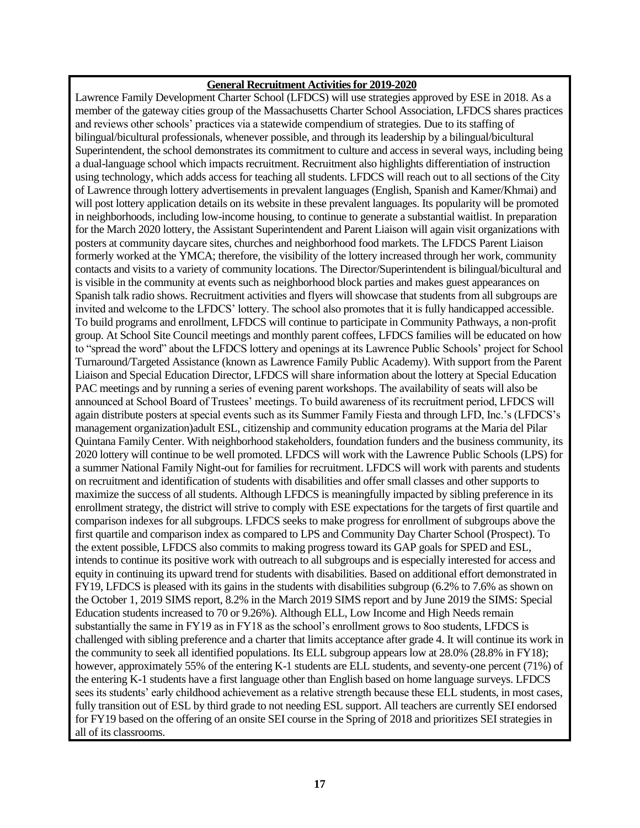#### **General Recruitment Activities for 2019-2020**

Lawrence Family Development Charter School (LFDCS) will use strategies approved by ESE in 2018. As a member of the gateway cities group of the Massachusetts Charter School Association, LFDCS shares practices and reviews other schools' practices via a statewide compendium of strategies. Due to its staffing of bilingual/bicultural professionals, whenever possible, and through its leadership by a bilingual/bicultural Superintendent, the school demonstrates its commitment to culture and access in several ways, including being a dual-language school which impacts recruitment. Recruitment also highlights differentiation of instruction using technology, which adds access for teaching all students. LFDCS will reach out to all sections of the City of Lawrence through lottery advertisements in prevalent languages (English, Spanish and Kamer/Khmai) and will post lottery application details on its website in these prevalent languages. Its popularity will be promoted in neighborhoods, including low-income housing, to continue to generate a substantial waitlist. In preparation for the March 2020 lottery, the Assistant Superintendent and Parent Liaison will again visit organizations with posters at community daycare sites, churches and neighborhood food markets. The LFDCS Parent Liaison formerly worked at the YMCA; therefore, the visibility of the lottery increased through her work, community contacts and visits to a variety of community locations. The Director/Superintendent is bilingual/bicultural and is visible in the community at events such as neighborhood block parties and makes guest appearances on Spanish talk radio shows. Recruitment activities and flyers will showcase that students from all subgroups are invited and welcome to the LFDCS' lottery. The school also promotes that it is fully handicapped accessible. To build programs and enrollment, LFDCS will continue to participate in Community Pathways, a non-profit group. At School Site Council meetings and monthly parent coffees, LFDCS families will be educated on how to "spread the word" about the LFDCS lottery and openings at its Lawrence Public Schools' project for School Turnaround/Targeted Assistance (known as Lawrence Family Public Academy). With support from the Parent Liaison and Special Education Director, LFDCS will share information about the lottery at Special Education PAC meetings and by running a series of evening parent workshops. The availability of seats will also be announced at School Board of Trustees' meetings. To build awareness of its recruitment period, LFDCS will again distribute posters at special events such as its Summer Family Fiesta and through LFD, Inc.'s (LFDCS's management organization)adult ESL, citizenship and community education programs at the Maria del Pilar Quintana Family Center. With neighborhood stakeholders, foundation funders and the business community, its 2020 lottery will continue to be well promoted. LFDCS will work with the Lawrence Public Schools (LPS) for a summer National Family Night-out for families for recruitment. LFDCS will work with parents and students on recruitment and identification of students with disabilities and offer small classes and other supports to maximize the success of all students. Although LFDCS is meaningfully impacted by sibling preference in its enrollment strategy, the district will strive to comply with ESE expectations for the targets of first quartile and comparison indexes for all subgroups. LFDCS seeks to make progress for enrollment of subgroups above the first quartile and comparison index as compared to LPS and Community Day Charter School (Prospect). To the extent possible, LFDCS also commits to making progress toward its GAP goals for SPED and ESL, intends to continue its positive work with outreach to all subgroups and is especially interested for access and equity in continuing its upward trend for students with disabilities. Based on additional effort demonstrated in FY19, LFDCS is pleased with its gains in the students with disabilities subgroup (6.2% to 7.6% as shown on the October 1, 2019 SIMS report, 8.2% in the March 2019 SIMS report and by June 2019 the SIMS: Special Education students increased to 70 or 9.26%). Although ELL, Low Income and High Needs remain substantially the same in FY19 as in FY18 as the school's enrollment grows to 8oo students, LFDCS is challenged with sibling preference and a charter that limits acceptance after grade 4. It will continue its work in the community to seek all identified populations. Its ELL subgroup appears low at 28.0% (28.8% in FY18); however, approximately 55% of the entering K-1 students are ELL students, and seventy-one percent (71%) of the entering K-1 students have a first language other than English based on home language surveys. LFDCS sees its students' early childhood achievement as a relative strength because these ELL students, in most cases, fully transition out of ESL by third grade to not needing ESL support. All teachers are currently SEI endorsed for FY19 based on the offering of an onsite SEI course in the Spring of 2018 and prioritizes SEI strategies in all of its classrooms.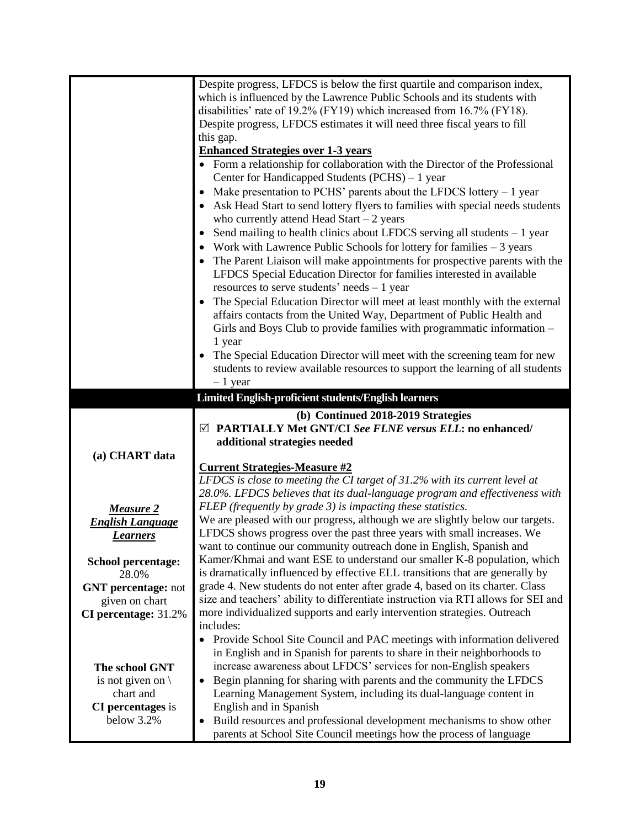|                             | Despite progress, LFDCS is below the first quartile and comparison index,<br>which is influenced by the Lawrence Public Schools and its students with |
|-----------------------------|-------------------------------------------------------------------------------------------------------------------------------------------------------|
|                             | disabilities' rate of 19.2% (FY19) which increased from 16.7% (FY18).                                                                                 |
|                             | Despite progress, LFDCS estimates it will need three fiscal years to fill                                                                             |
|                             | this gap.                                                                                                                                             |
|                             | <b>Enhanced Strategies over 1-3 years</b>                                                                                                             |
|                             | • Form a relationship for collaboration with the Director of the Professional<br>Center for Handicapped Students (PCHS) - 1 year                      |
|                             | Make presentation to PCHS' parents about the LFDCS lottery $-1$ year                                                                                  |
|                             | Ask Head Start to send lottery flyers to families with special needs students<br>who currently attend Head Start $-2$ years                           |
|                             | Send mailing to health clinics about LFDCS serving all students $-1$ year                                                                             |
|                             | Work with Lawrence Public Schools for lottery for families $-3$ years                                                                                 |
|                             | The Parent Liaison will make appointments for prospective parents with the                                                                            |
|                             | LFDCS Special Education Director for families interested in available<br>resources to serve students' needs $-1$ year                                 |
|                             | The Special Education Director will meet at least monthly with the external                                                                           |
|                             | affairs contacts from the United Way, Department of Public Health and                                                                                 |
|                             | Girls and Boys Club to provide families with programmatic information -                                                                               |
|                             | 1 year                                                                                                                                                |
|                             | The Special Education Director will meet with the screening team for new                                                                              |
|                             | students to review available resources to support the learning of all students                                                                        |
|                             | $-1$ year                                                                                                                                             |
|                             | Limited English-proficient students/English learners                                                                                                  |
|                             |                                                                                                                                                       |
|                             | (b) Continued 2018-2019 Strategies                                                                                                                    |
|                             | $\boxtimes$ PARTIALLY Met GNT/CI See FLNE versus ELL: no enhanced/                                                                                    |
|                             | additional strategies needed                                                                                                                          |
| (a) CHART data              |                                                                                                                                                       |
|                             | <b>Current Strategies-Measure #2</b>                                                                                                                  |
|                             | LFDCS is close to meeting the CI target of 31.2% with its current level at                                                                            |
|                             | 28.0%. LFDCS believes that its dual-language program and effectiveness with                                                                           |
| <b>Measure 2</b>            | FLEP (frequently by grade 3) is impacting these statistics.                                                                                           |
| <b>English Language</b>     | We are pleased with our progress, although we are slightly below our targets.                                                                         |
| <b>Learners</b>             | LFDCS shows progress over the past three years with small increases. We                                                                               |
|                             | want to continue our community outreach done in English, Spanish and                                                                                  |
| <b>School percentage:</b>   | Kamer/Khmai and want ESE to understand our smaller K-8 population, which                                                                              |
| 28.0%                       | is dramatically influenced by effective ELL transitions that are generally by                                                                         |
| <b>GNT</b> percentage: not  | grade 4. New students do not enter after grade 4, based on its charter. Class                                                                         |
| given on chart              | size and teachers' ability to differentiate instruction via RTI allows for SEI and                                                                    |
| CI percentage: 31.2%        | more individualized supports and early intervention strategies. Outreach<br>includes:                                                                 |
|                             | $\bullet$                                                                                                                                             |
|                             | Provide School Site Council and PAC meetings with information delivered<br>in English and in Spanish for parents to share in their neighborhoods to   |
| The school GNT              | increase awareness about LFDCS' services for non-English speakers                                                                                     |
| is not given on $\setminus$ | Begin planning for sharing with parents and the community the LFDCS<br>$\bullet$                                                                      |
| chart and                   | Learning Management System, including its dual-language content in                                                                                    |
| <b>CI</b> percentages is    | English and in Spanish                                                                                                                                |
| below 3.2%                  | Build resources and professional development mechanisms to show other                                                                                 |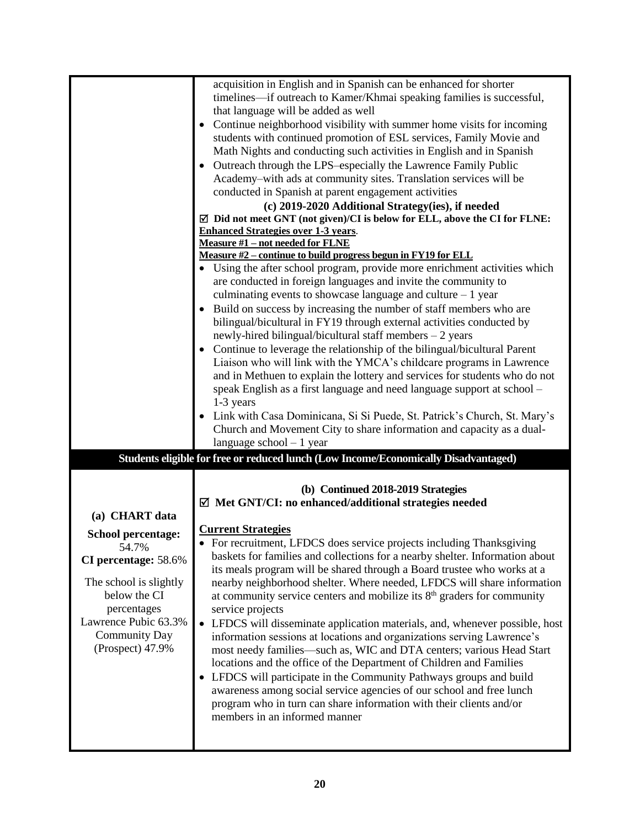|                | timelines—if outreach to Kamer/Khmai speaking families is successful,<br>that language will be added as well<br>Continue neighborhood visibility with summer home visits for incoming<br>students with continued promotion of ESL services, Family Movie and<br>Math Nights and conducting such activities in English and in Spanish                                                                                                                                                                                  |  |  |
|----------------|-----------------------------------------------------------------------------------------------------------------------------------------------------------------------------------------------------------------------------------------------------------------------------------------------------------------------------------------------------------------------------------------------------------------------------------------------------------------------------------------------------------------------|--|--|
|                | Outreach through the LPS-especially the Lawrence Family Public<br>Academy-with ads at community sites. Translation services will be<br>conducted in Spanish at parent engagement activities<br>(c) 2019-2020 Additional Strategy(ies), if needed<br>$\overline{\boxtimes}$ Did not meet GNT (not given)/CI is below for ELL, above the CI for FLNE:<br><b>Enhanced Strategies over 1-3 years.</b>                                                                                                                     |  |  |
|                | <b>Measure #1 - not needed for FLNE</b>                                                                                                                                                                                                                                                                                                                                                                                                                                                                               |  |  |
|                | Measure #2 – continue to build progress begun in FY19 for ELL                                                                                                                                                                                                                                                                                                                                                                                                                                                         |  |  |
|                | Using the after school program, provide more enrichment activities which<br>are conducted in foreign languages and invite the community to<br>culminating events to showcase language and culture $-1$ year<br>Build on success by increasing the number of staff members who are<br>bilingual/bicultural in FY19 through external activities conducted by<br>newly-hired bilingual/bicultural staff members $-2$ years                                                                                               |  |  |
|                | Continue to leverage the relationship of the bilingual/bicultural Parent<br>$\bullet$<br>Liaison who will link with the YMCA's childcare programs in Lawrence<br>and in Methuen to explain the lottery and services for students who do not<br>speak English as a first language and need language support at school -<br>1-3 years<br>Link with Casa Dominicana, Si Si Puede, St. Patrick's Church, St. Mary's<br>Church and Movement City to share information and capacity as a dual-<br>language school $-1$ year |  |  |
|                |                                                                                                                                                                                                                                                                                                                                                                                                                                                                                                                       |  |  |
|                |                                                                                                                                                                                                                                                                                                                                                                                                                                                                                                                       |  |  |
| (a) CHART data | Students eligible for free or reduced lunch (Low Income/Economically Disadvantaged)<br>(b) Continued 2018-2019 Strategies<br>$\boxtimes$ Met GNT/CI: no enhanced/additional strategies needed                                                                                                                                                                                                                                                                                                                         |  |  |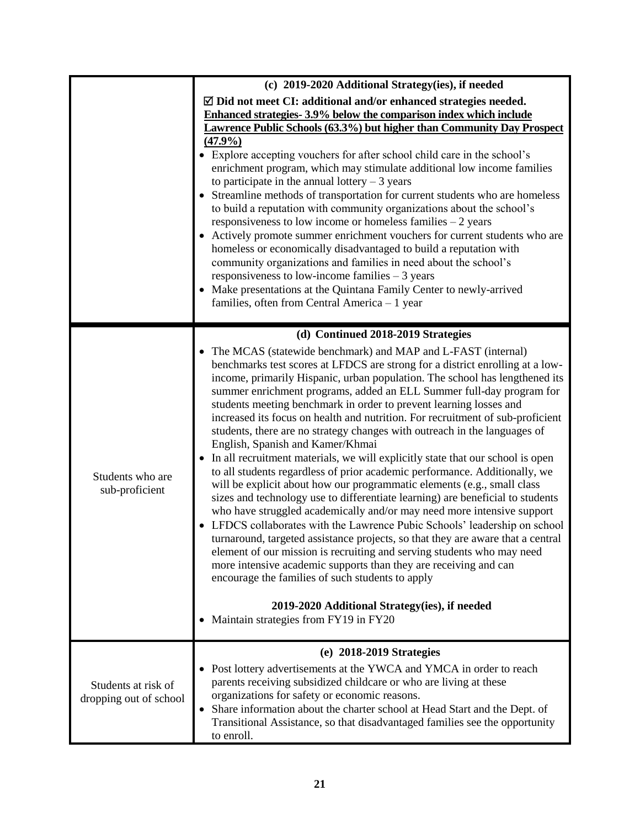|                                               | (c) 2019-2020 Additional Strategy(ies), if needed                                                                                                                                                                                                                                                                                                                                                                                                                                                                                                                                                                                                                                                                                                                                                                                                                                                                                                                                                                                                                                                                                                                                                                                                                                                                                                                                                                                                      |  |  |  |
|-----------------------------------------------|--------------------------------------------------------------------------------------------------------------------------------------------------------------------------------------------------------------------------------------------------------------------------------------------------------------------------------------------------------------------------------------------------------------------------------------------------------------------------------------------------------------------------------------------------------------------------------------------------------------------------------------------------------------------------------------------------------------------------------------------------------------------------------------------------------------------------------------------------------------------------------------------------------------------------------------------------------------------------------------------------------------------------------------------------------------------------------------------------------------------------------------------------------------------------------------------------------------------------------------------------------------------------------------------------------------------------------------------------------------------------------------------------------------------------------------------------------|--|--|--|
|                                               | $\boxtimes$ Did not meet CI: additional and/or enhanced strategies needed.<br>Enhanced strategies-3.9% below the comparison index which include<br>Lawrence Public Schools (63.3%) but higher than Community Day Prospect<br>(47.9%)<br>Explore accepting vouchers for after school child care in the school's<br>enrichment program, which may stimulate additional low income families<br>to participate in the annual lottery $-3$ years<br>Streamline methods of transportation for current students who are homeless<br>to build a reputation with community organizations about the school's<br>responsiveness to low income or homeless families $-2$ years<br>Actively promote summer enrichment vouchers for current students who are<br>homeless or economically disadvantaged to build a reputation with<br>community organizations and families in need about the school's<br>responsiveness to low-income families $-3$ years<br>• Make presentations at the Quintana Family Center to newly-arrived<br>families, often from Central America - 1 year                                                                                                                                                                                                                                                                                                                                                                                     |  |  |  |
|                                               | (d) Continued 2018-2019 Strategies                                                                                                                                                                                                                                                                                                                                                                                                                                                                                                                                                                                                                                                                                                                                                                                                                                                                                                                                                                                                                                                                                                                                                                                                                                                                                                                                                                                                                     |  |  |  |
| Students who are<br>sub-proficient            | • The MCAS (statewide benchmark) and MAP and L-FAST (internal)<br>benchmarks test scores at LFDCS are strong for a district enrolling at a low-<br>income, primarily Hispanic, urban population. The school has lengthened its<br>summer enrichment programs, added an ELL Summer full-day program for<br>students meeting benchmark in order to prevent learning losses and<br>increased its focus on health and nutrition. For recruitment of sub-proficient<br>students, there are no strategy changes with outreach in the languages of<br>English, Spanish and Kamer/Khmai<br>In all recruitment materials, we will explicitly state that our school is open<br>to all students regardless of prior academic performance. Additionally, we<br>will be explicit about how our programmatic elements (e.g., small class<br>sizes and technology use to differentiate learning) are beneficial to students<br>who have struggled academically and/or may need more intensive support<br>LFDCS collaborates with the Lawrence Pubic Schools' leadership on school<br>turnaround, targeted assistance projects, so that they are aware that a central<br>element of our mission is recruiting and serving students who may need<br>more intensive academic supports than they are receiving and can<br>encourage the families of such students to apply<br>2019-2020 Additional Strategy(ies), if needed<br>Maintain strategies from FY19 in FY20<br>٠ |  |  |  |
|                                               | (e) 2018-2019 Strategies                                                                                                                                                                                                                                                                                                                                                                                                                                                                                                                                                                                                                                                                                                                                                                                                                                                                                                                                                                                                                                                                                                                                                                                                                                                                                                                                                                                                                               |  |  |  |
| Students at risk of<br>dropping out of school | • Post lottery advertisements at the YWCA and YMCA in order to reach<br>parents receiving subsidized childcare or who are living at these<br>organizations for safety or economic reasons.<br>Share information about the charter school at Head Start and the Dept. of<br>$\bullet$<br>Transitional Assistance, so that disadvantaged families see the opportunity<br>to enroll.                                                                                                                                                                                                                                                                                                                                                                                                                                                                                                                                                                                                                                                                                                                                                                                                                                                                                                                                                                                                                                                                      |  |  |  |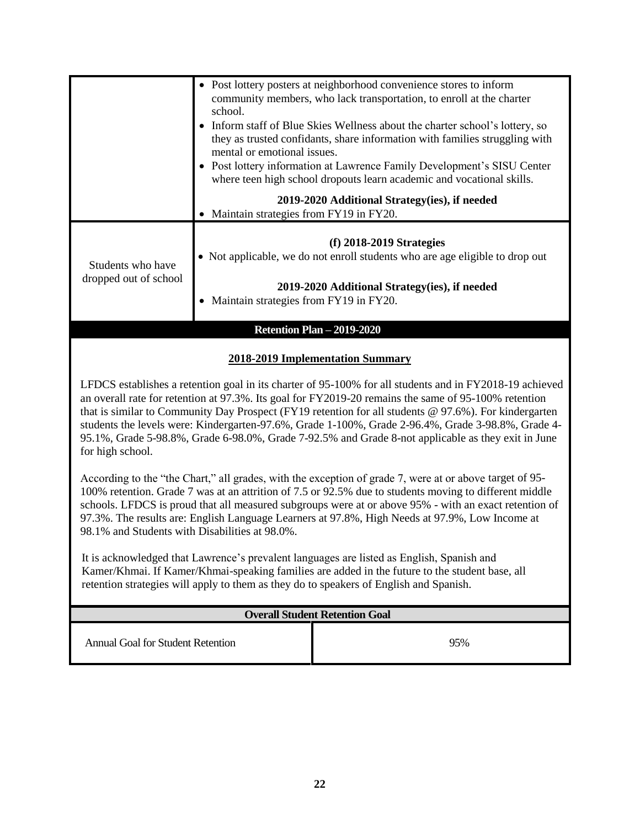|                                                                                                                                                                                                                                                                                                                                                                                                                                                                                                                                                            |                                          | • Post lottery posters at neighborhood convenience stores to inform                                                                              |  |
|------------------------------------------------------------------------------------------------------------------------------------------------------------------------------------------------------------------------------------------------------------------------------------------------------------------------------------------------------------------------------------------------------------------------------------------------------------------------------------------------------------------------------------------------------------|------------------------------------------|--------------------------------------------------------------------------------------------------------------------------------------------------|--|
|                                                                                                                                                                                                                                                                                                                                                                                                                                                                                                                                                            |                                          | community members, who lack transportation, to enroll at the charter                                                                             |  |
|                                                                                                                                                                                                                                                                                                                                                                                                                                                                                                                                                            | school.                                  | • Inform staff of Blue Skies Wellness about the charter school's lottery, so                                                                     |  |
|                                                                                                                                                                                                                                                                                                                                                                                                                                                                                                                                                            |                                          | they as trusted confidants, share information with families struggling with                                                                      |  |
|                                                                                                                                                                                                                                                                                                                                                                                                                                                                                                                                                            | mental or emotional issues.              |                                                                                                                                                  |  |
|                                                                                                                                                                                                                                                                                                                                                                                                                                                                                                                                                            |                                          | • Post lottery information at Lawrence Family Development's SISU Center<br>where teen high school dropouts learn academic and vocational skills. |  |
|                                                                                                                                                                                                                                                                                                                                                                                                                                                                                                                                                            |                                          | 2019-2020 Additional Strategy(ies), if needed                                                                                                    |  |
|                                                                                                                                                                                                                                                                                                                                                                                                                                                                                                                                                            | • Maintain strategies from FY19 in FY20. |                                                                                                                                                  |  |
|                                                                                                                                                                                                                                                                                                                                                                                                                                                                                                                                                            |                                          | $(f)$ 2018-2019 Strategies                                                                                                                       |  |
| Students who have                                                                                                                                                                                                                                                                                                                                                                                                                                                                                                                                          |                                          | • Not applicable, we do not enroll students who are age eligible to drop out                                                                     |  |
| dropped out of school                                                                                                                                                                                                                                                                                                                                                                                                                                                                                                                                      |                                          | 2019-2020 Additional Strategy(ies), if needed                                                                                                    |  |
|                                                                                                                                                                                                                                                                                                                                                                                                                                                                                                                                                            | • Maintain strategies from FY19 in FY20. |                                                                                                                                                  |  |
|                                                                                                                                                                                                                                                                                                                                                                                                                                                                                                                                                            |                                          |                                                                                                                                                  |  |
|                                                                                                                                                                                                                                                                                                                                                                                                                                                                                                                                                            |                                          | <b>Retention Plan - 2019-2020</b>                                                                                                                |  |
|                                                                                                                                                                                                                                                                                                                                                                                                                                                                                                                                                            |                                          | 2018-2019 Implementation Summary                                                                                                                 |  |
| LFDCS establishes a retention goal in its charter of 95-100% for all students and in FY2018-19 achieved<br>an overall rate for retention at 97.3%. Its goal for FY2019-20 remains the same of 95-100% retention<br>that is similar to Community Day Prospect (FY19 retention for all students $@$ 97.6%). For kindergarten<br>students the levels were: Kindergarten-97.6%, Grade 1-100%, Grade 2-96.4%, Grade 3-98.8%, Grade 4-<br>95.1%, Grade 5-98.8%, Grade 6-98.0%, Grade 7-92.5% and Grade 8-not applicable as they exit in June<br>for high school. |                                          |                                                                                                                                                  |  |
| According to the "the Chart," all grades, with the exception of grade 7, were at or above target of 95-<br>100% retention. Grade 7 was at an attrition of 7.5 or 92.5% due to students moving to different middle<br>schools. LFDCS is proud that all measured subgroups were at or above 95% - with an exact retention of<br>97.3%. The results are: English Language Learners at 97.8%, High Needs at 97.9%, Low Income at<br>98.1% and Students with Disabilities at 98.0%.                                                                             |                                          |                                                                                                                                                  |  |
| It is acknowledged that Lawrence's prevalent languages are listed as English, Spanish and<br>Kamer/Khmai. If Kamer/Khmai-speaking families are added in the future to the student base, all<br>retention strategies will apply to them as they do to speakers of English and Spanish.                                                                                                                                                                                                                                                                      |                                          |                                                                                                                                                  |  |
| <b>Overall Student Retention Goal</b>                                                                                                                                                                                                                                                                                                                                                                                                                                                                                                                      |                                          |                                                                                                                                                  |  |
| <b>Annual Goal for Student Retention</b>                                                                                                                                                                                                                                                                                                                                                                                                                                                                                                                   |                                          | 95%                                                                                                                                              |  |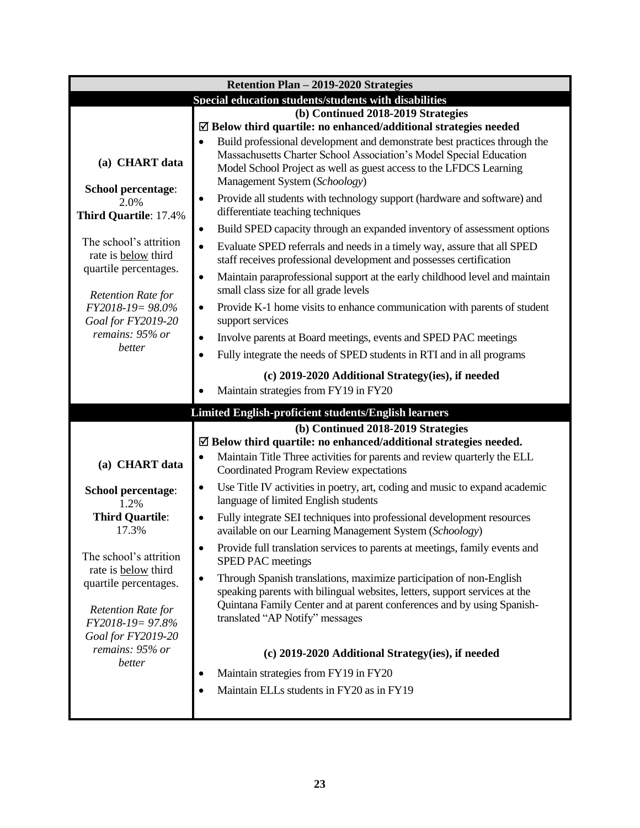| Retention Plan - 2019-2020 Strategies                 |                                                                                                                                                                                                                                          |  |  |
|-------------------------------------------------------|------------------------------------------------------------------------------------------------------------------------------------------------------------------------------------------------------------------------------------------|--|--|
| Special education students/students with disabilities |                                                                                                                                                                                                                                          |  |  |
|                                                       | (b) Continued 2018-2019 Strategies                                                                                                                                                                                                       |  |  |
|                                                       | $\boxtimes$ Below third quartile: no enhanced/additional strategies needed<br>Build professional development and demonstrate best practices through the<br>$\bullet$                                                                     |  |  |
| (a) CHART data                                        | Massachusetts Charter School Association's Model Special Education<br>Model School Project as well as guest access to the LFDCS Learning<br>Management System (Schoology)                                                                |  |  |
| School percentage:<br>2.0%                            | Provide all students with technology support (hardware and software) and<br>$\bullet$                                                                                                                                                    |  |  |
| Third Quartile: 17.4%                                 | differentiate teaching techniques                                                                                                                                                                                                        |  |  |
| The school's attrition                                | Build SPED capacity through an expanded inventory of assessment options<br>$\bullet$                                                                                                                                                     |  |  |
| rate is <b>below</b> third<br>quartile percentages.   | Evaluate SPED referrals and needs in a timely way, assure that all SPED<br>$\bullet$<br>staff receives professional development and possesses certification                                                                              |  |  |
| <b>Retention Rate for</b>                             | Maintain paraprofessional support at the early childhood level and maintain<br>$\bullet$<br>small class size for all grade levels                                                                                                        |  |  |
| FY2018-19=98.0%<br>Goal for FY2019-20                 | Provide K-1 home visits to enhance communication with parents of student<br>$\bullet$<br>support services                                                                                                                                |  |  |
| remains: 95% or                                       | Involve parents at Board meetings, events and SPED PAC meetings<br>$\bullet$                                                                                                                                                             |  |  |
| better                                                | Fully integrate the needs of SPED students in RTI and in all programs<br>$\bullet$                                                                                                                                                       |  |  |
|                                                       | (c) 2019-2020 Additional Strategy(ies), if needed                                                                                                                                                                                        |  |  |
|                                                       | Maintain strategies from FY19 in FY20                                                                                                                                                                                                    |  |  |
|                                                       | Limited English-proficient students/English learners                                                                                                                                                                                     |  |  |
|                                                       | (b) Continued 2018-2019 Strategies                                                                                                                                                                                                       |  |  |
|                                                       | $\boxtimes$ Below third quartile: no enhanced/additional strategies needed.                                                                                                                                                              |  |  |
| (a) CHART data                                        | Maintain Title Three activities for parents and review quarterly the ELL<br>$\bullet$<br>Coordinated Program Review expectations                                                                                                         |  |  |
| School percentage:<br>1.2%                            | Use Title IV activities in poetry, art, coding and music to expand academic<br>$\bullet$<br>language of limited English students                                                                                                         |  |  |
| <b>Third Quartile:</b><br>17.3%                       | Fully integrate SEI techniques into professional development resources<br>$\bullet$<br>available on our Learning Management System (Schoology)                                                                                           |  |  |
| The school's attrition                                | Provide full translation services to parents at meetings, family events and<br>$\bullet$<br>SPED PAC meetings                                                                                                                            |  |  |
| rate is below third<br>quartile percentages.          | Through Spanish translations, maximize participation of non-English<br>$\bullet$<br>speaking parents with bilingual websites, letters, support services at the<br>Quintana Family Center and at parent conferences and by using Spanish- |  |  |
| <b>Retention Rate for</b><br>FY2018-19= 97.8%         | translated "AP Notify" messages                                                                                                                                                                                                          |  |  |
| Goal for FY2019-20<br>remains: 95% or                 | (c) 2019-2020 Additional Strategy(ies), if needed                                                                                                                                                                                        |  |  |
| better                                                |                                                                                                                                                                                                                                          |  |  |
|                                                       | Maintain strategies from FY19 in FY20<br>$\bullet$                                                                                                                                                                                       |  |  |
|                                                       | Maintain ELLs students in FY20 as in FY19                                                                                                                                                                                                |  |  |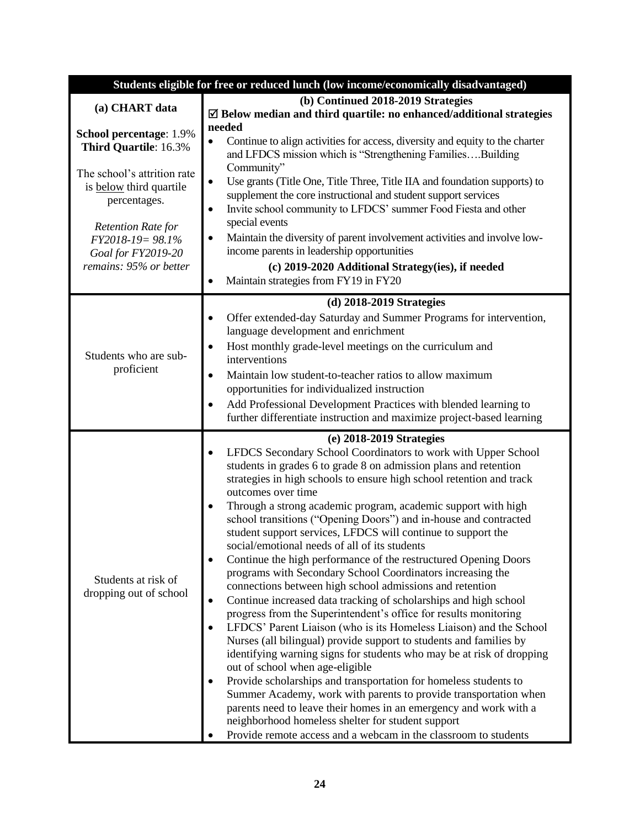| Students eligible for free or reduced lunch (low income/economically disadvantaged)                                                                                                                                         |                                                                                                                                                                                                                                                                                                                                                                                                                                                                                                                                                                                                                                                                                                                                                                                                                                                                                                                                                                                                                                                                                                                                                                                                                                                                                                                                                                                                                                                             |  |  |
|-----------------------------------------------------------------------------------------------------------------------------------------------------------------------------------------------------------------------------|-------------------------------------------------------------------------------------------------------------------------------------------------------------------------------------------------------------------------------------------------------------------------------------------------------------------------------------------------------------------------------------------------------------------------------------------------------------------------------------------------------------------------------------------------------------------------------------------------------------------------------------------------------------------------------------------------------------------------------------------------------------------------------------------------------------------------------------------------------------------------------------------------------------------------------------------------------------------------------------------------------------------------------------------------------------------------------------------------------------------------------------------------------------------------------------------------------------------------------------------------------------------------------------------------------------------------------------------------------------------------------------------------------------------------------------------------------------|--|--|
|                                                                                                                                                                                                                             | (b) Continued 2018-2019 Strategies                                                                                                                                                                                                                                                                                                                                                                                                                                                                                                                                                                                                                                                                                                                                                                                                                                                                                                                                                                                                                                                                                                                                                                                                                                                                                                                                                                                                                          |  |  |
| (a) CHART data                                                                                                                                                                                                              | $\boxtimes$ Below median and third quartile: no enhanced/additional strategies                                                                                                                                                                                                                                                                                                                                                                                                                                                                                                                                                                                                                                                                                                                                                                                                                                                                                                                                                                                                                                                                                                                                                                                                                                                                                                                                                                              |  |  |
| School percentage: 1.9%<br>Third Quartile: 16.3%<br>The school's attrition rate<br>is below third quartile<br>percentages.<br><b>Retention Rate for</b><br>FY2018-19= 98.1%<br>Goal for FY2019-20<br>remains: 95% or better | needed<br>Continue to align activities for access, diversity and equity to the charter<br>$\bullet$<br>and LFDCS mission which is "Strengthening FamiliesBuilding<br>Community"<br>Use grants (Title One, Title Three, Title IIA and foundation supports) to<br>$\bullet$<br>supplement the core instructional and student support services<br>Invite school community to LFDCS' summer Food Fiesta and other<br>٠<br>special events<br>Maintain the diversity of parent involvement activities and involve low-<br>٠<br>income parents in leadership opportunities<br>(c) 2019-2020 Additional Strategy(ies), if needed<br>Maintain strategies from FY19 in FY20<br>٠                                                                                                                                                                                                                                                                                                                                                                                                                                                                                                                                                                                                                                                                                                                                                                                      |  |  |
|                                                                                                                                                                                                                             | $(d)$ 2018-2019 Strategies                                                                                                                                                                                                                                                                                                                                                                                                                                                                                                                                                                                                                                                                                                                                                                                                                                                                                                                                                                                                                                                                                                                                                                                                                                                                                                                                                                                                                                  |  |  |
| Students who are sub-<br>proficient                                                                                                                                                                                         | Offer extended-day Saturday and Summer Programs for intervention,<br>٠<br>language development and enrichment<br>Host monthly grade-level meetings on the curriculum and<br>٠<br>interventions<br>Maintain low student-to-teacher ratios to allow maximum<br>$\bullet$<br>opportunities for individualized instruction<br>Add Professional Development Practices with blended learning to<br>٠<br>further differentiate instruction and maximize project-based learning                                                                                                                                                                                                                                                                                                                                                                                                                                                                                                                                                                                                                                                                                                                                                                                                                                                                                                                                                                                     |  |  |
|                                                                                                                                                                                                                             | (e) 2018-2019 Strategies                                                                                                                                                                                                                                                                                                                                                                                                                                                                                                                                                                                                                                                                                                                                                                                                                                                                                                                                                                                                                                                                                                                                                                                                                                                                                                                                                                                                                                    |  |  |
| Students at risk of<br>dropping out of school                                                                                                                                                                               | LFDCS Secondary School Coordinators to work with Upper School<br>٠<br>students in grades 6 to grade 8 on admission plans and retention<br>strategies in high schools to ensure high school retention and track<br>outcomes over time<br>Through a strong academic program, academic support with high<br>$\bullet$<br>school transitions ("Opening Doors") and in-house and contracted<br>student support services, LFDCS will continue to support the<br>social/emotional needs of all of its students<br>Continue the high performance of the restructured Opening Doors<br>programs with Secondary School Coordinators increasing the<br>connections between high school admissions and retention<br>Continue increased data tracking of scholarships and high school<br>$\bullet$<br>progress from the Superintendent's office for results monitoring<br>LFDCS' Parent Liaison (who is its Homeless Liaison) and the School<br>Nurses (all bilingual) provide support to students and families by<br>identifying warning signs for students who may be at risk of dropping<br>out of school when age-eligible<br>Provide scholarships and transportation for homeless students to<br>٠<br>Summer Academy, work with parents to provide transportation when<br>parents need to leave their homes in an emergency and work with a<br>neighborhood homeless shelter for student support<br>Provide remote access and a webcam in the classroom to students |  |  |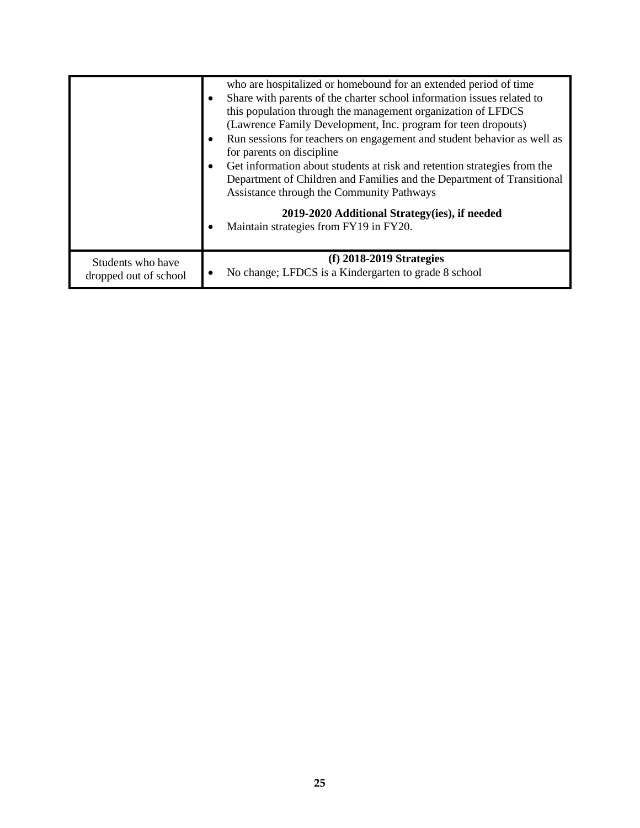|                                            | who are hospitalized or homebound for an extended period of time<br>Share with parents of the charter school information issues related to<br>this population through the management organization of LFDCS<br>(Lawrence Family Development, Inc. program for teen dropouts)<br>Run sessions for teachers on engagement and student behavior as well as<br>for parents on discipline<br>Get information about students at risk and retention strategies from the<br>Department of Children and Families and the Department of Transitional<br>Assistance through the Community Pathways |
|--------------------------------------------|----------------------------------------------------------------------------------------------------------------------------------------------------------------------------------------------------------------------------------------------------------------------------------------------------------------------------------------------------------------------------------------------------------------------------------------------------------------------------------------------------------------------------------------------------------------------------------------|
|                                            | 2019-2020 Additional Strategy(ies), if needed<br>Maintain strategies from FY19 in FY20.                                                                                                                                                                                                                                                                                                                                                                                                                                                                                                |
| Students who have<br>dropped out of school | $(f)$ 2018-2019 Strategies<br>No change; LFDCS is a Kindergarten to grade 8 school                                                                                                                                                                                                                                                                                                                                                                                                                                                                                                     |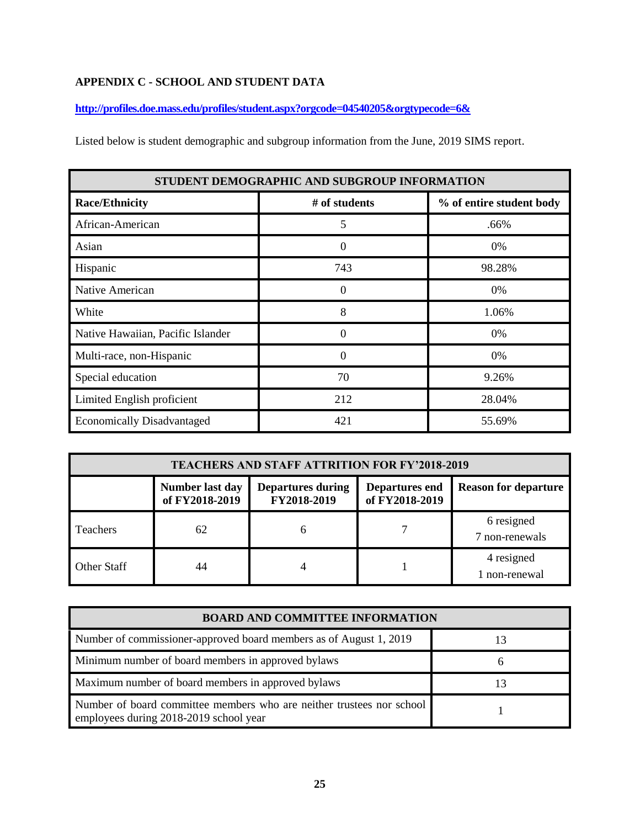#### **APPENDIX C - SCHOOL AND STUDENT DATA**

**<http://profiles.doe.mass.edu/profiles/student.aspx?orgcode=04540205&orgtypecode=6&>**

Listed below is student demographic and subgroup information from the June, 2019 SIMS report.

| STUDENT DEMOGRAPHIC AND SUBGROUP INFORMATION |               |                          |  |
|----------------------------------------------|---------------|--------------------------|--|
| <b>Race/Ethnicity</b>                        | # of students | % of entire student body |  |
| African-American                             | 5             | .66%                     |  |
| Asian                                        | $\theta$      | 0%                       |  |
| Hispanic                                     | 743           | 98.28%                   |  |
| Native American                              | $\Omega$      | 0%                       |  |
| White                                        | 8             | 1.06%                    |  |
| Native Hawaiian, Pacific Islander            | $\Omega$      | $0\%$                    |  |
| Multi-race, non-Hispanic                     | ∩             | 0%                       |  |
| Special education                            | 70            | 9.26%                    |  |
| Limited English proficient                   | 212           | 28.04%                   |  |
| <b>Economically Disadvantaged</b>            | 421           | 55.69%                   |  |

| <b>TEACHERS AND STAFF ATTRITION FOR FY'2018-2019</b> |                                   |                                         |                                         |                              |
|------------------------------------------------------|-----------------------------------|-----------------------------------------|-----------------------------------------|------------------------------|
|                                                      | Number last day<br>of FY2018-2019 | <b>Departures during</b><br>FY2018-2019 | <b>Departures end</b><br>of FY2018-2019 | <b>Reason for departure</b>  |
| <b>Teachers</b>                                      | 62                                | h                                       |                                         | 6 resigned<br>7 non-renewals |
| Other Staff                                          | 44                                |                                         |                                         | 4 resigned<br>1 non-renewal  |

| <b>BOARD AND COMMITTEE INFORMATION</b>                                                                          |    |  |  |
|-----------------------------------------------------------------------------------------------------------------|----|--|--|
| Number of commissioner-approved board members as of August 1, 2019                                              | 13 |  |  |
| Minimum number of board members in approved bylaws                                                              | h  |  |  |
| Maximum number of board members in approved bylaws                                                              | 13 |  |  |
| Number of board committee members who are neither trustees nor school<br>employees during 2018-2019 school year |    |  |  |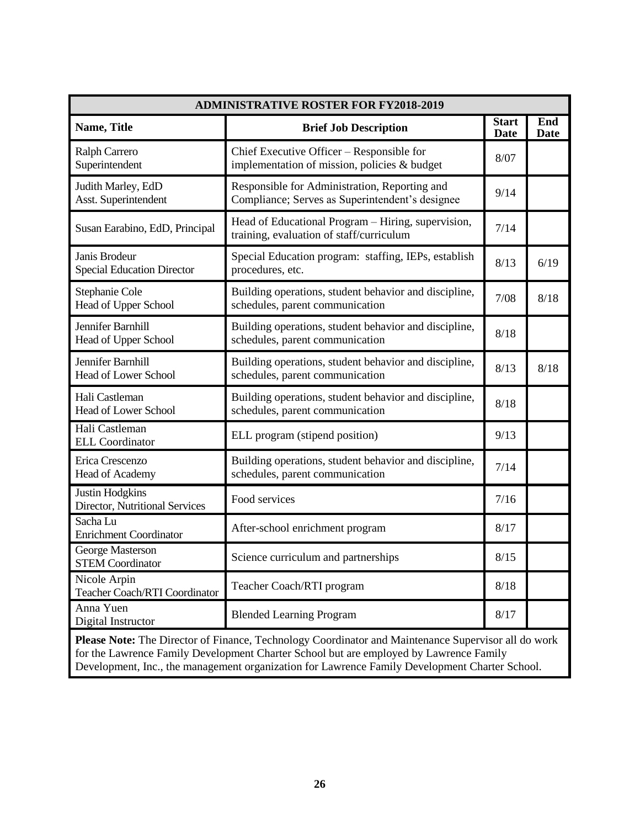| <b>ADMINISTRATIVE ROSTER FOR FY2018-2019</b>                                                                                                                                                                                                                                                    |                                                                                                  |                             |                    |  |
|-------------------------------------------------------------------------------------------------------------------------------------------------------------------------------------------------------------------------------------------------------------------------------------------------|--------------------------------------------------------------------------------------------------|-----------------------------|--------------------|--|
| Name, Title                                                                                                                                                                                                                                                                                     | <b>Brief Job Description</b>                                                                     | <b>Start</b><br><b>Date</b> | End<br><b>Date</b> |  |
| <b>Ralph Carrero</b><br>Superintendent                                                                                                                                                                                                                                                          | Chief Executive Officer - Responsible for<br>implementation of mission, policies & budget        | 8/07                        |                    |  |
| Judith Marley, EdD<br>Asst. Superintendent                                                                                                                                                                                                                                                      | Responsible for Administration, Reporting and<br>Compliance; Serves as Superintendent's designee | 9/14                        |                    |  |
| Susan Earabino, EdD, Principal                                                                                                                                                                                                                                                                  | Head of Educational Program - Hiring, supervision,<br>training, evaluation of staff/curriculum   | 7/14                        |                    |  |
| Janis Brodeur<br><b>Special Education Director</b>                                                                                                                                                                                                                                              | Special Education program: staffing, IEPs, establish<br>procedures, etc.                         | 8/13                        | 6/19               |  |
| Stephanie Cole<br>Head of Upper School                                                                                                                                                                                                                                                          | Building operations, student behavior and discipline,<br>schedules, parent communication         | 7/08                        | 8/18               |  |
| Jennifer Barnhill<br><b>Head of Upper School</b>                                                                                                                                                                                                                                                | Building operations, student behavior and discipline,<br>schedules, parent communication         | 8/18                        |                    |  |
| Jennifer Barnhill<br>Head of Lower School                                                                                                                                                                                                                                                       | Building operations, student behavior and discipline,<br>schedules, parent communication         | 8/13                        | 8/18               |  |
| Hali Castleman<br>Head of Lower School                                                                                                                                                                                                                                                          | Building operations, student behavior and discipline,<br>schedules, parent communication         | 8/18                        |                    |  |
| Hali Castleman<br><b>ELL Coordinator</b>                                                                                                                                                                                                                                                        | ELL program (stipend position)                                                                   | 9/13                        |                    |  |
| Erica Crescenzo<br>Head of Academy                                                                                                                                                                                                                                                              | Building operations, student behavior and discipline,<br>schedules, parent communication         | 7/14                        |                    |  |
| <b>Justin Hodgkins</b><br>Director, Nutritional Services                                                                                                                                                                                                                                        | Food services                                                                                    | 7/16                        |                    |  |
| Sacha Lu<br><b>Enrichment Coordinator</b>                                                                                                                                                                                                                                                       | After-school enrichment program                                                                  | 8/17                        |                    |  |
| George Masterson<br><b>STEM Coordinator</b>                                                                                                                                                                                                                                                     | Science curriculum and partnerships                                                              | 8/15                        |                    |  |
| Nicole Arpin<br>Teacher Coach/RTI Coordinator                                                                                                                                                                                                                                                   | Teacher Coach/RTI program                                                                        | 8/18                        |                    |  |
| Anna Yuen<br>Digital Instructor                                                                                                                                                                                                                                                                 | <b>Blended Learning Program</b>                                                                  | 8/17                        |                    |  |
| Please Note: The Director of Finance, Technology Coordinator and Maintenance Supervisor all do work<br>for the Lawrence Family Development Charter School but are employed by Lawrence Family<br>Development, Inc., the management organization for Lawrence Family Development Charter School. |                                                                                                  |                             |                    |  |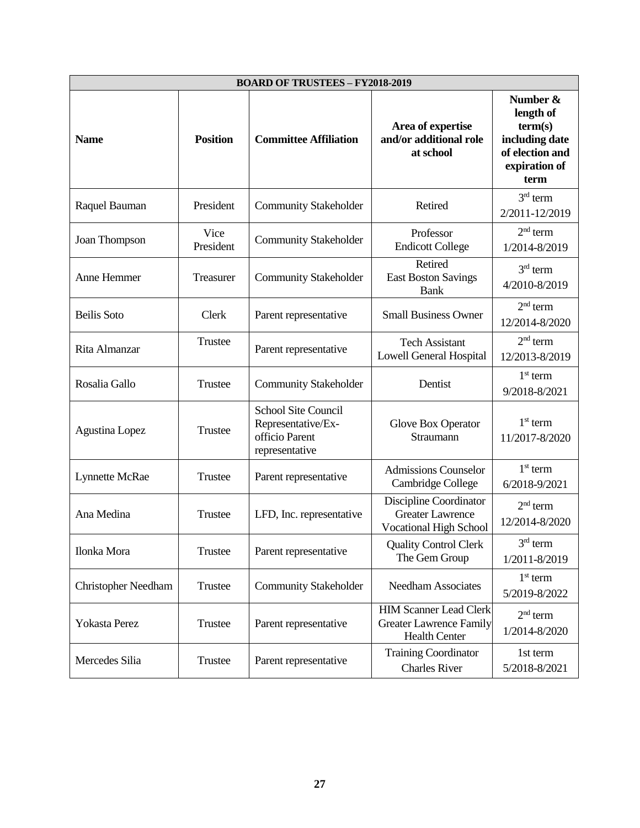| <b>BOARD OF TRUSTEES - FY2018-2019</b> |                   |                                                                                      |                                                                                         |                                                                                                |  |  |  |
|----------------------------------------|-------------------|--------------------------------------------------------------------------------------|-----------------------------------------------------------------------------------------|------------------------------------------------------------------------------------------------|--|--|--|
| <b>Name</b>                            | <b>Position</b>   | <b>Committee Affiliation</b>                                                         | Area of expertise<br>and/or additional role<br>at school                                | Number &<br>length of<br>term(s)<br>including date<br>of election and<br>expiration of<br>term |  |  |  |
| Raquel Bauman                          | President         | <b>Community Stakeholder</b>                                                         | Retired                                                                                 | $3rd$ term<br>2/2011-12/2019                                                                   |  |  |  |
| Joan Thompson                          | Vice<br>President | <b>Community Stakeholder</b>                                                         | Professor<br><b>Endicott College</b>                                                    | $2nd$ term<br>1/2014-8/2019                                                                    |  |  |  |
| Anne Hemmer                            | Treasurer         | <b>Community Stakeholder</b>                                                         | Retired<br><b>East Boston Savings</b><br><b>Bank</b>                                    | $3rd$ term<br>4/2010-8/2019                                                                    |  |  |  |
| <b>Beilis</b> Soto                     | Clerk             | Parent representative                                                                | <b>Small Business Owner</b>                                                             | $2nd$ term<br>12/2014-8/2020                                                                   |  |  |  |
| Rita Almanzar                          | Trustee           | Parent representative                                                                | <b>Tech Assistant</b><br>Lowell General Hospital                                        | $2nd$ term<br>12/2013-8/2019                                                                   |  |  |  |
| Rosalia Gallo                          | Trustee           | <b>Community Stakeholder</b>                                                         | Dentist                                                                                 | $1st$ term<br>9/2018-8/2021                                                                    |  |  |  |
| Agustina Lopez                         | Trustee           | <b>School Site Council</b><br>Representative/Ex-<br>officio Parent<br>representative | Glove Box Operator<br>Straumann                                                         | $1st$ term<br>11/2017-8/2020                                                                   |  |  |  |
| Lynnette McRae                         | Trustee           | Parent representative                                                                | <b>Admissions Counselor</b><br>Cambridge College                                        | $1st$ term<br>6/2018-9/2021                                                                    |  |  |  |
| Ana Medina                             | Trustee           | LFD, Inc. representative                                                             | Discipline Coordinator<br><b>Greater Lawrence</b><br><b>Vocational High School</b>      | $2nd$ term<br>12/2014-8/2020                                                                   |  |  |  |
| Ilonka Mora                            | Trustee           | Parent representative                                                                | <b>Quality Control Clerk</b><br>The Gem Group                                           | $3rd$ term<br>1/2011-8/2019                                                                    |  |  |  |
| <b>Christopher Needham</b>             | Trustee           | <b>Community Stakeholder</b>                                                         | <b>Needham Associates</b>                                                               | $1st$ term<br>5/2019-8/2022                                                                    |  |  |  |
| Yokasta Perez                          | Trustee           | Parent representative                                                                | <b>HIM Scanner Lead Clerk</b><br><b>Greater Lawrence Family</b><br><b>Health Center</b> | $2nd$ term<br>1/2014-8/2020                                                                    |  |  |  |
| Mercedes Silia                         | Trustee           | Parent representative                                                                | <b>Training Coordinator</b><br><b>Charles River</b>                                     | 1st term<br>5/2018-8/2021                                                                      |  |  |  |